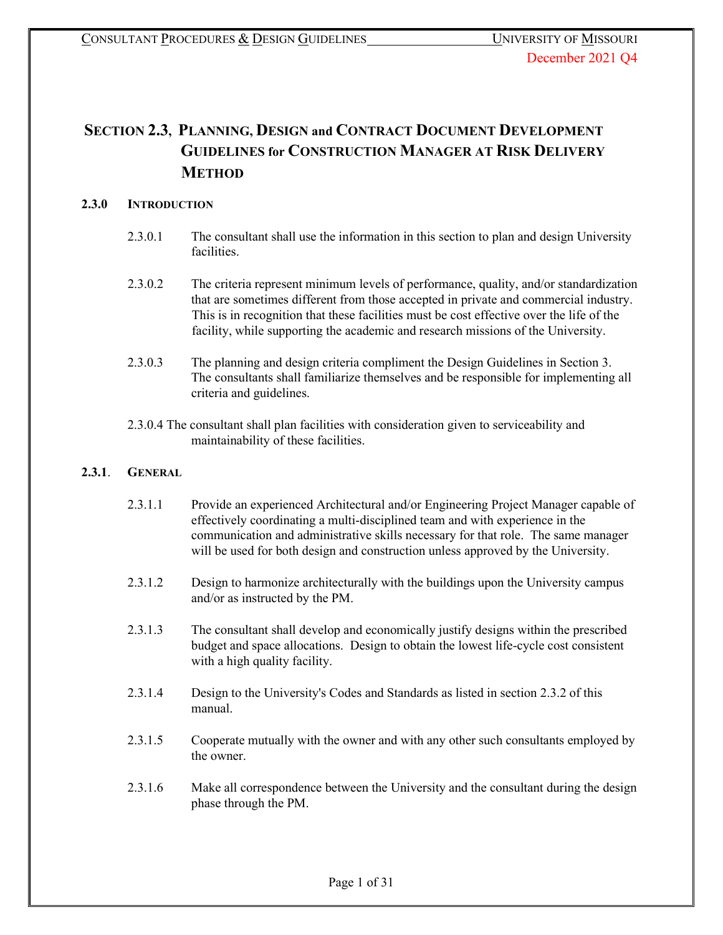# **SECTION 2.3, PLANNING, DESIGN and CONTRACT DOCUMENT DEVELOPMENT GUIDELINES for CONSTRUCTION MANAGER AT RISK DELIVERY METHOD**

# **2.3.0 INTRODUCTION**

- 2.3.0.1 The consultant shall use the information in this section to plan and design University facilities.
- 2.3.0.2 The criteria represent minimum levels of performance, quality, and/or standardization that are sometimes different from those accepted in private and commercial industry. This is in recognition that these facilities must be cost effective over the life of the facility, while supporting the academic and research missions of the University.
- 2.3.0.3 The planning and design criteria compliment the Design Guidelines in Section 3. The consultants shall familiarize themselves and be responsible for implementing all criteria and guidelines.
- 2.3.0.4 The consultant shall plan facilities with consideration given to serviceability and maintainability of these facilities.

## **2.3.1**. **GENERAL**

- 2.3.1.1 Provide an experienced Architectural and/or Engineering Project Manager capable of effectively coordinating a multi-disciplined team and with experience in the communication and administrative skills necessary for that role. The same manager will be used for both design and construction unless approved by the University.
- 2.3.1.2 Design to harmonize architecturally with the buildings upon the University campus and/or as instructed by the PM.
- 2.3.1.3 The consultant shall develop and economically justify designs within the prescribed budget and space allocations. Design to obtain the lowest life-cycle cost consistent with a high quality facility.
- 2.3.1.4 Design to the University's Codes and Standards as listed in section 2.3.2 of this manual.
- 2.3.1.5 Cooperate mutually with the owner and with any other such consultants employed by the owner.
- 2.3.1.6 Make all correspondence between the University and the consultant during the design phase through the PM.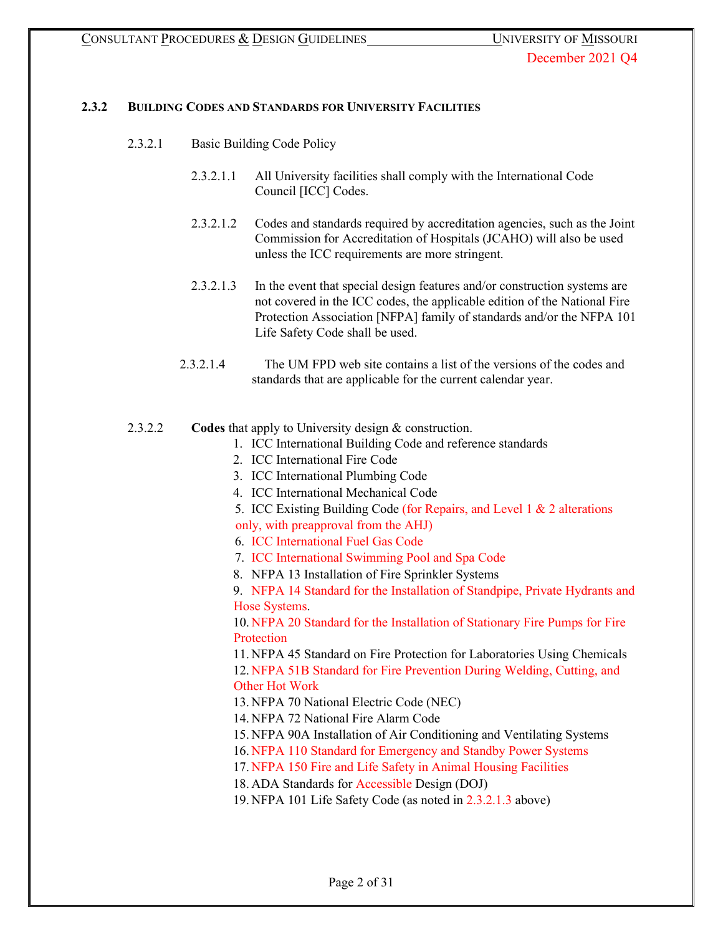## **2.3.2 BUILDING CODES AND STANDARDS FOR UNIVERSITY FACILITIES**

- 2.3.2.1 Basic Building Code Policy
	- 2.3.2.1.1 All University facilities shall comply with the International Code Council [ICC] Codes.
	- 2.3.2.1.2 Codes and standards required by accreditation agencies, such as the Joint Commission for Accreditation of Hospitals (JCAHO) will also be used unless the ICC requirements are more stringent.
	- 2.3.2.1.3 In the event that special design features and/or construction systems are not covered in the ICC codes, the applicable edition of the National Fire Protection Association [NFPA] family of standards and/or the NFPA 101 Life Safety Code shall be used.
	- 2.3.2.1.4 The UM FPD web site contains a list of the versions of the codes and standards that are applicable for the current calendar year.
- 2.3.2.2 **Codes** that apply to University design & construction.
	- 1. ICC International Building Code and reference standards
	- 2. ICC International Fire Code
	- 3. ICC International Plumbing Code
	- 4. ICC International Mechanical Code
	- 5. ICC Existing Building Code (for Repairs, and Level 1 & 2 alterations only, with preapproval from the AHJ)
	- 6. ICC International Fuel Gas Code
	- 7. ICC International Swimming Pool and Spa Code
	- 8. NFPA 13 Installation of Fire Sprinkler Systems

9. NFPA 14 Standard for the Installation of Standpipe, Private Hydrants and Hose Systems.

10. NFPA 20 Standard for the Installation of Stationary Fire Pumps for Fire Protection

11. NFPA 45 Standard on Fire Protection for Laboratories Using Chemicals 12. NFPA 51B Standard for Fire Prevention During Welding, Cutting, and Other Hot Work

13. NFPA 70 National Electric Code (NEC)

14. NFPA 72 National Fire Alarm Code

15. NFPA 90A Installation of Air Conditioning and Ventilating Systems

16. NFPA 110 Standard for Emergency and Standby Power Systems

17. NFPA 150 Fire and Life Safety in Animal Housing Facilities

18. ADA Standards for Accessible Design (DOJ)

19. NFPA 101 Life Safety Code (as noted in 2.3.2.1.3 above)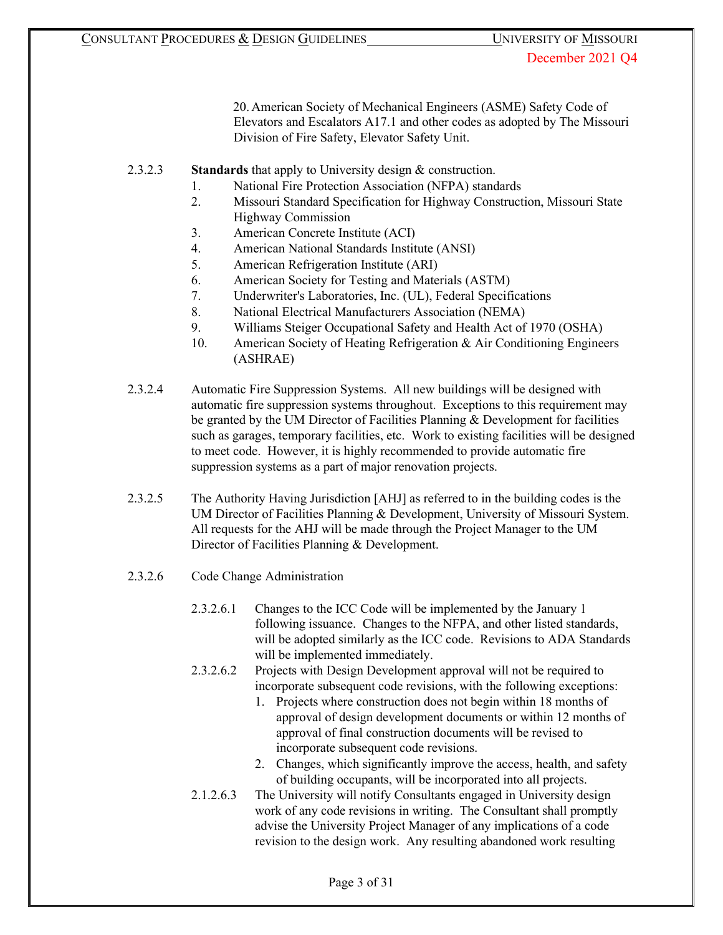20. American Society of Mechanical Engineers (ASME) Safety Code of Elevators and Escalators A17.1 and other codes as adopted by The Missouri Division of Fire Safety, Elevator Safety Unit.

- 2.3.2.3 **Standards** that apply to University design & construction.
	- 1. National Fire Protection Association (NFPA) standards
	- 2. Missouri Standard Specification for Highway Construction, Missouri State Highway Commission
	- 3. American Concrete Institute (ACI)
	- 4. American National Standards Institute (ANSI)
	- 5. American Refrigeration Institute (ARI)
	- 6. American Society for Testing and Materials (ASTM)
	- 7. Underwriter's Laboratories, Inc. (UL), Federal Specifications
	- 8. National Electrical Manufacturers Association (NEMA)
	- 9. Williams Steiger Occupational Safety and Health Act of 1970 (OSHA)
	- 10. American Society of Heating Refrigeration & Air Conditioning Engineers (ASHRAE)
- 2.3.2.4 Automatic Fire Suppression Systems. All new buildings will be designed with automatic fire suppression systems throughout. Exceptions to this requirement may be granted by the UM Director of Facilities Planning & Development for facilities such as garages, temporary facilities, etc. Work to existing facilities will be designed to meet code. However, it is highly recommended to provide automatic fire suppression systems as a part of major renovation projects.
- 2.3.2.5 The Authority Having Jurisdiction [AHJ] as referred to in the building codes is the UM Director of Facilities Planning & Development, University of Missouri System. All requests for the AHJ will be made through the Project Manager to the UM Director of Facilities Planning & Development.
- 2.3.2.6 Code Change Administration
	- 2.3.2.6.1 Changes to the ICC Code will be implemented by the January 1 following issuance. Changes to the NFPA, and other listed standards, will be adopted similarly as the ICC code. Revisions to ADA Standards will be implemented immediately.
	- 2.3.2.6.2 Projects with Design Development approval will not be required to incorporate subsequent code revisions, with the following exceptions:
		- 1. Projects where construction does not begin within 18 months of approval of design development documents or within 12 months of approval of final construction documents will be revised to incorporate subsequent code revisions.
		- 2. Changes, which significantly improve the access, health, and safety of building occupants, will be incorporated into all projects.
	- 2.1.2.6.3 The University will notify Consultants engaged in University design work of any code revisions in writing. The Consultant shall promptly advise the University Project Manager of any implications of a code revision to the design work. Any resulting abandoned work resulting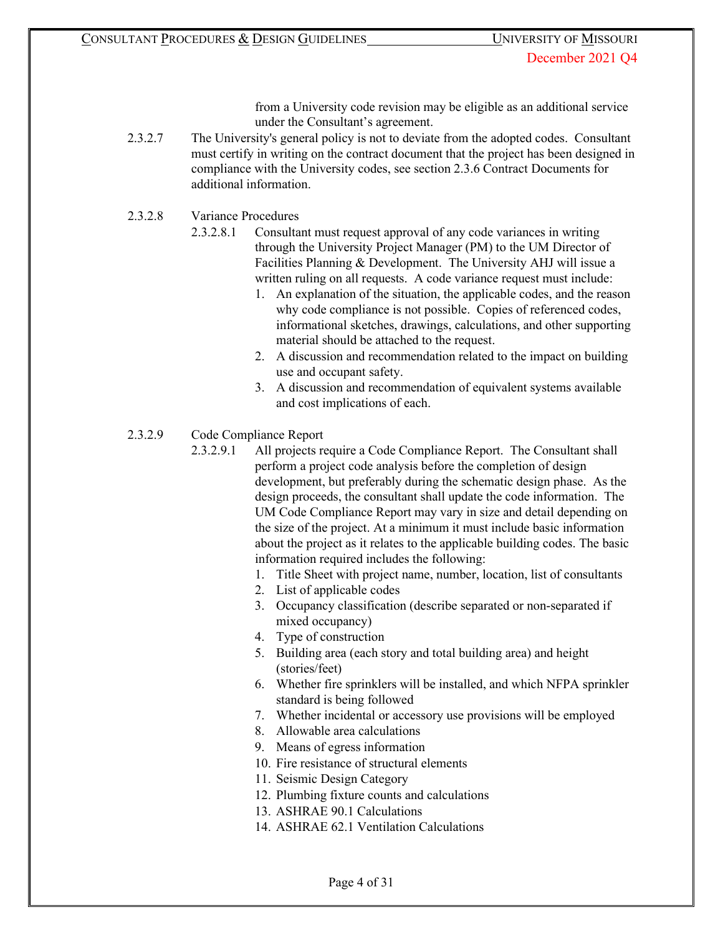from a University code revision may be eligible as an additional service under the Consultant's agreement.

- 2.3.2.7 The University's general policy is not to deviate from the adopted codes. Consultant must certify in writing on the contract document that the project has been designed in compliance with the University codes, see section 2.3.6 Contract Documents for additional information.
- 2.3.2.8 Variance Procedures
	- 2.3.2.8.1 Consultant must request approval of any code variances in writing through the University Project Manager (PM) to the UM Director of Facilities Planning & Development. The University AHJ will issue a written ruling on all requests. A code variance request must include:
		- 1. An explanation of the situation, the applicable codes, and the reason why code compliance is not possible. Copies of referenced codes, informational sketches, drawings, calculations, and other supporting material should be attached to the request.
		- 2. A discussion and recommendation related to the impact on building use and occupant safety.
		- 3. A discussion and recommendation of equivalent systems available and cost implications of each.
- 2.3.2.9 Code Compliance Report
	- 2.3.2.9.1 All projects require a Code Compliance Report. The Consultant shall perform a project code analysis before the completion of design development, but preferably during the schematic design phase. As the design proceeds, the consultant shall update the code information. The UM Code Compliance Report may vary in size and detail depending on the size of the project. At a minimum it must include basic information about the project as it relates to the applicable building codes. The basic information required includes the following:
		- 1. Title Sheet with project name, number, location, list of consultants
		- 2. List of applicable codes
		- 3. Occupancy classification (describe separated or non-separated if mixed occupancy)
		- 4. Type of construction
		- 5. Building area (each story and total building area) and height (stories/feet)
		- 6. Whether fire sprinklers will be installed, and which NFPA sprinkler standard is being followed
		- 7. Whether incidental or accessory use provisions will be employed
		- 8. Allowable area calculations
		- 9. Means of egress information
		- 10. Fire resistance of structural elements
		- 11. Seismic Design Category
		- 12. Plumbing fixture counts and calculations
		- 13. ASHRAE 90.1 Calculations
		- 14. ASHRAE 62.1 Ventilation Calculations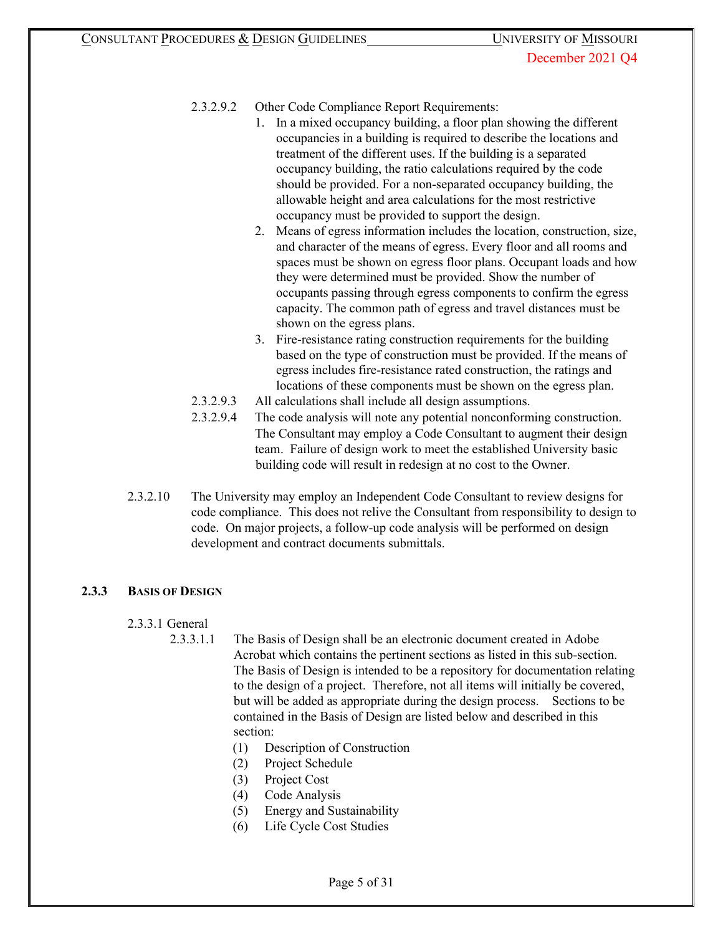# 2.3.2.9.2 Other Code Compliance Report Requirements:

- 1. In a mixed occupancy building, a floor plan showing the different occupancies in a building is required to describe the locations and treatment of the different uses. If the building is a separated occupancy building, the ratio calculations required by the code should be provided. For a non-separated occupancy building, the allowable height and area calculations for the most restrictive occupancy must be provided to support the design.
- 2. Means of egress information includes the location, construction, size, and character of the means of egress. Every floor and all rooms and spaces must be shown on egress floor plans. Occupant loads and how they were determined must be provided. Show the number of occupants passing through egress components to confirm the egress capacity. The common path of egress and travel distances must be shown on the egress plans.
- 3. Fire-resistance rating construction requirements for the building based on the type of construction must be provided. If the means of egress includes fire-resistance rated construction, the ratings and locations of these components must be shown on the egress plan.
- 2.3.2.9.3 All calculations shall include all design assumptions.
- 2.3.2.9.4 The code analysis will note any potential nonconforming construction. The Consultant may employ a Code Consultant to augment their design team. Failure of design work to meet the established University basic building code will result in redesign at no cost to the Owner.
- 2.3.2.10 The University may employ an Independent Code Consultant to review designs for code compliance. This does not relive the Consultant from responsibility to design to code. On major projects, a follow-up code analysis will be performed on design development and contract documents submittals.

# **2.3.3 BASIS OF DESIGN**

## 2.3.3.1 General

- 2.3.3.1.1 The Basis of Design shall be an electronic document created in Adobe Acrobat which contains the pertinent sections as listed in this sub-section. The Basis of Design is intended to be a repository for documentation relating to the design of a project. Therefore, not all items will initially be covered, but will be added as appropriate during the design process. Sections to be contained in the Basis of Design are listed below and described in this section:
	- (1) Description of Construction
	- (2) Project Schedule
	- (3) Project Cost
	- (4) Code Analysis
	- (5) Energy and Sustainability
	- (6) Life Cycle Cost Studies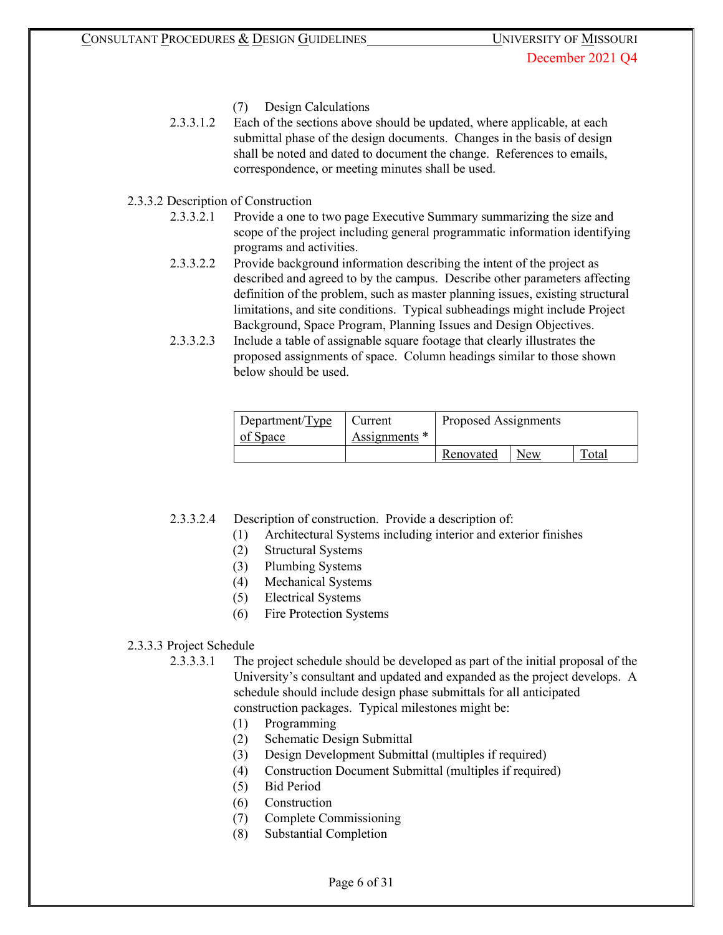- (7) Design Calculations
- 2.3.3.1.2 Each of the sections above should be updated, where applicable, at each submittal phase of the design documents. Changes in the basis of design shall be noted and dated to document the change. References to emails, correspondence, or meeting minutes shall be used.

## 2.3.3.2 Description of Construction

- 2.3.3.2.1 Provide a one to two page Executive Summary summarizing the size and scope of the project including general programmatic information identifying programs and activities.
- 2.3.3.2.2 Provide background information describing the intent of the project as described and agreed to by the campus. Describe other parameters affecting definition of the problem, such as master planning issues, existing structural limitations, and site conditions. Typical subheadings might include Project Background, Space Program, Planning Issues and Design Objectives.
- 2.3.3.2.3 Include a table of assignable square footage that clearly illustrates the proposed assignments of space. Column headings similar to those shown below should be used.

| Department/ $Type$<br>of Space | Current<br>Assignments * | Proposed Assignments |     |       |
|--------------------------------|--------------------------|----------------------|-----|-------|
|                                |                          | Renovated            | New | Total |

2.3.3.2.4 Description of construction. Provide a description of:

- (1) Architectural Systems including interior and exterior finishes
- (2) Structural Systems
- (3) Plumbing Systems
- (4) Mechanical Systems
- (5) Electrical Systems
- (6) Fire Protection Systems

#### 2.3.3.3 Project Schedule

2.3.3.3.1 The project schedule should be developed as part of the initial proposal of the University's consultant and updated and expanded as the project develops. A schedule should include design phase submittals for all anticipated construction packages. Typical milestones might be:

- (1) Programming
- (2) Schematic Design Submittal
- (3) Design Development Submittal (multiples if required)
- (4) Construction Document Submittal (multiples if required)
- (5) Bid Period
- (6) Construction
- (7) Complete Commissioning
- (8) Substantial Completion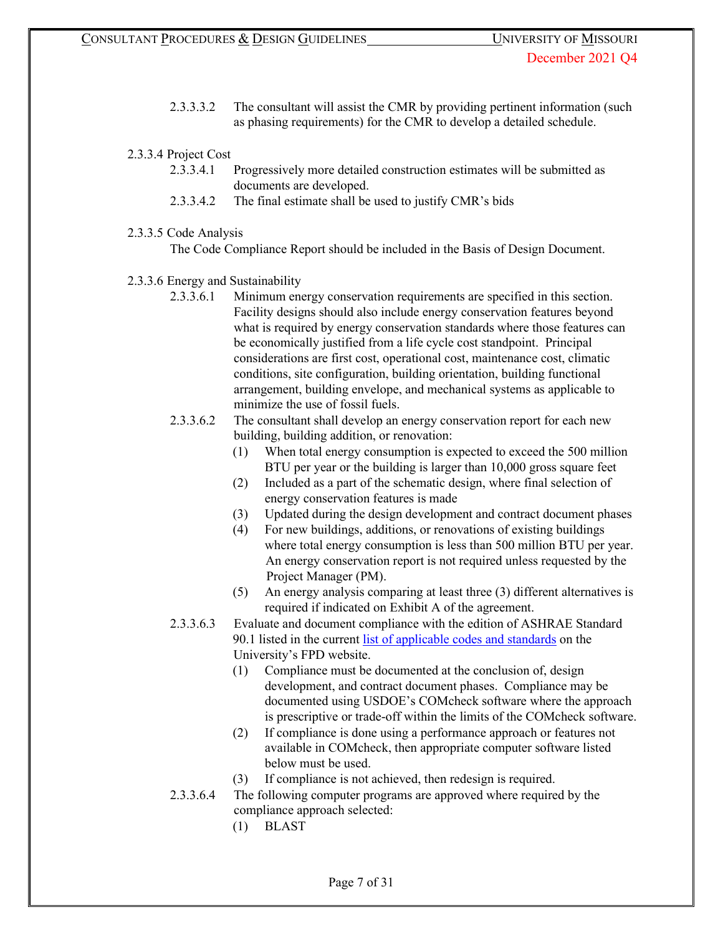- 2.3.3.3.2 The consultant will assist the CMR by providing pertinent information (such as phasing requirements) for the CMR to develop a detailed schedule.
- 2.3.3.4 Project Cost
	- 2.3.3.4.1 Progressively more detailed construction estimates will be submitted as documents are developed.
	- 2.3.3.4.2 The final estimate shall be used to justify CMR's bids
- 2.3.3.5 Code Analysis

The Code Compliance Report should be included in the Basis of Design Document.

- 2.3.3.6 Energy and Sustainability
	- 2.3.3.6.1 Minimum energy conservation requirements are specified in this section. Facility designs should also include energy conservation features beyond what is required by energy conservation standards where those features can be economically justified from a life cycle cost standpoint. Principal considerations are first cost, operational cost, maintenance cost, climatic conditions, site configuration, building orientation, building functional arrangement, building envelope, and mechanical systems as applicable to minimize the use of fossil fuels.
	- 2.3.3.6.2 The consultant shall develop an energy conservation report for each new building, building addition, or renovation:
		- (1) When total energy consumption is expected to exceed the 500 million BTU per year or the building is larger than 10,000 gross square feet
		- (2) Included as a part of the schematic design, where final selection of energy conservation features is made
		- (3) Updated during the design development and contract document phases
		- (4) For new buildings, additions, or renovations of existing buildings where total energy consumption is less than 500 million BTU per year. An energy conservation report is not required unless requested by the Project Manager (PM).
		- (5) An energy analysis comparing at least three (3) different alternatives is required if indicated on Exhibit A of the agreement.
	- 2.3.3.6.3 Evaluate and document compliance with the edition of ASHRAE Standard 90.1 listed in the current [list of applicable codes and standards](https://uminfopoint.umsystem.edu/media/fa/management/facilities/docs/UM%20Code%20List.pdf) on the University's FPD website.
		- (1) Compliance must be documented at the conclusion of, design development, and contract document phases. Compliance may be documented using USDOE's COMcheck software where the approach is prescriptive or trade-off within the limits of the COMcheck software.
		- (2) If compliance is done using a performance approach or features not available in COMcheck, then appropriate computer software listed below must be used.
		- (3) If compliance is not achieved, then redesign is required.
	- 2.3.3.6.4 The following computer programs are approved where required by the compliance approach selected:
		- (1) BLAST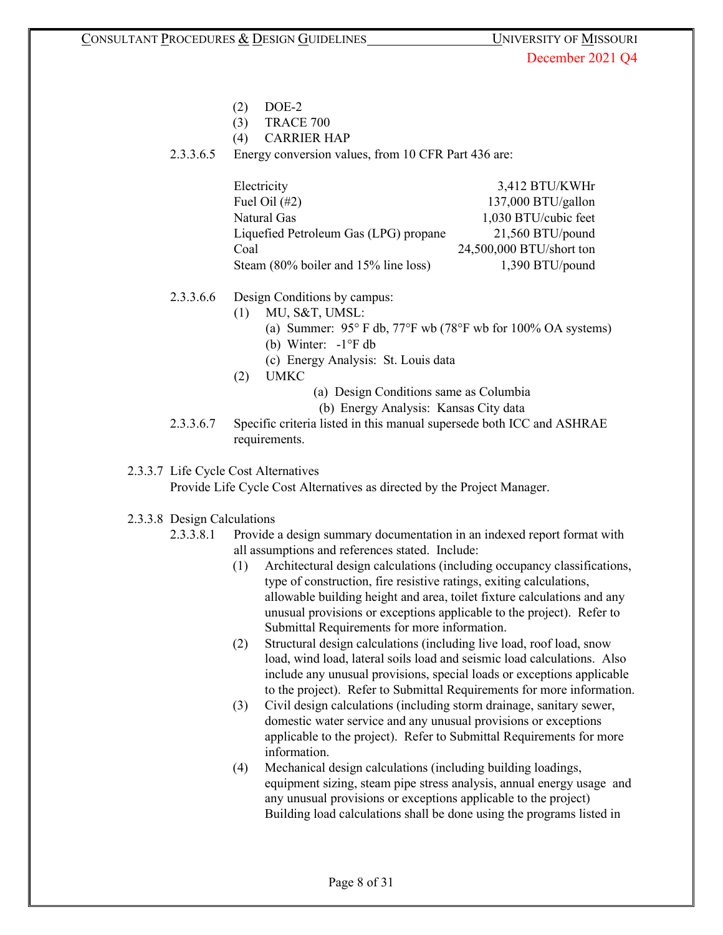- (2) DOE-2
- (3) TRACE 700
- (4) CARRIER HAP
- 2.3.3.6.5 Energy conversion values, from 10 CFR Part 436 are:

| Electricity                           | 3,412 BTU/KWHr           |
|---------------------------------------|--------------------------|
| Fuel Oil $(\#2)$                      | 137,000 BTU/gallon       |
| Natural Gas                           | 1,030 BTU/cubic feet     |
| Liquefied Petroleum Gas (LPG) propane | $21,560$ BTU/pound       |
| Coal                                  | 24,500,000 BTU/short ton |
| Steam (80% boiler and 15% line loss)  | 1,390 BTU/pound          |

- 2.3.3.6.6 Design Conditions by campus:
	- (1) MU, S&T, UMSL:
		- (a) Summer: 95° F db, 77°F wb (78°F wb for 100% OA systems)
		- (b) Winter: -1°F db
		- (c) Energy Analysis: St. Louis data
	- (2) UMKC
- (a) Design Conditions same as Columbia
- (b) Energy Analysis: Kansas City data
- 2.3.3.6.7 Specific criteria listed in this manual supersede both ICC and ASHRAE requirements.
- 2.3.3.7 Life Cycle Cost Alternatives

Provide Life Cycle Cost Alternatives as directed by the Project Manager.

## 2.3.3.8 Design Calculations

- 2.3.3.8.1 Provide a design summary documentation in an indexed report format with all assumptions and references stated. Include:
	- (1) Architectural design calculations (including occupancy classifications, type of construction, fire resistive ratings, exiting calculations, allowable building height and area, toilet fixture calculations and any unusual provisions or exceptions applicable to the project). Refer to Submittal Requirements for more information.
	- (2) Structural design calculations (including live load, roof load, snow load, wind load, lateral soils load and seismic load calculations. Also include any unusual provisions, special loads or exceptions applicable to the project). Refer to Submittal Requirements for more information.
	- (3) Civil design calculations (including storm drainage, sanitary sewer, domestic water service and any unusual provisions or exceptions applicable to the project). Refer to Submittal Requirements for more information.
	- (4) Mechanical design calculations (including building loadings, equipment sizing, steam pipe stress analysis, annual energy usage and any unusual provisions or exceptions applicable to the project) Building load calculations shall be done using the programs listed in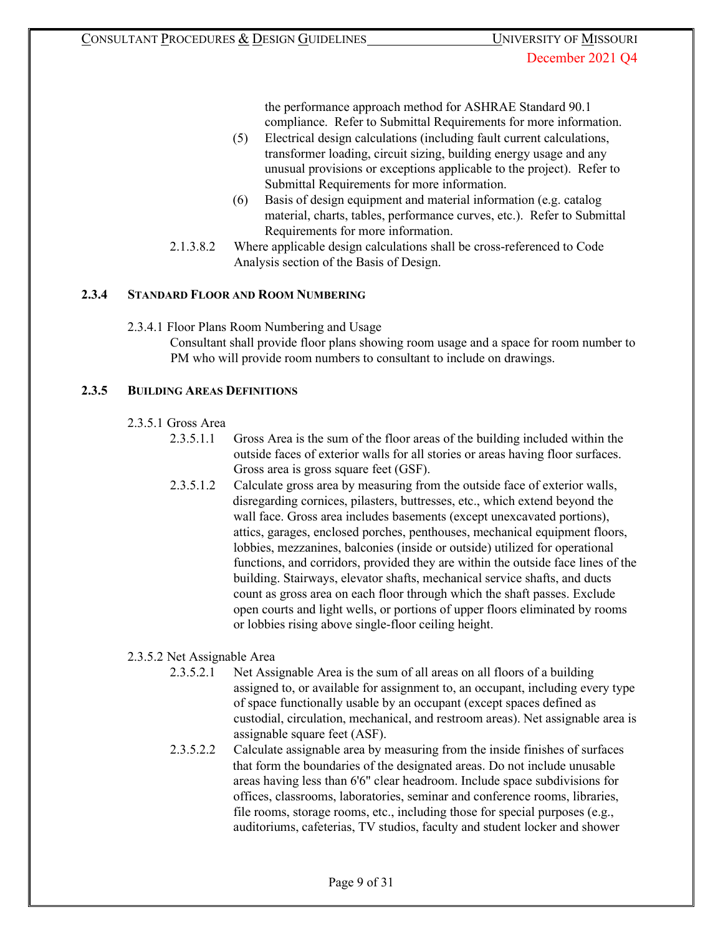the performance approach method for ASHRAE Standard 90.1 compliance. Refer to Submittal Requirements for more information.

- (5) Electrical design calculations (including fault current calculations, transformer loading, circuit sizing, building energy usage and any unusual provisions or exceptions applicable to the project). Refer to Submittal Requirements for more information.
- (6) Basis of design equipment and material information (e.g. catalog material, charts, tables, performance curves, etc.). Refer to Submittal Requirements for more information.
- 2.1.3.8.2 Where applicable design calculations shall be cross-referenced to Code Analysis section of the Basis of Design.

# **2.3.4 STANDARD FLOOR AND ROOM NUMBERING**

2.3.4.1 Floor Plans Room Numbering and Usage

Consultant shall provide floor plans showing room usage and a space for room number to PM who will provide room numbers to consultant to include on drawings.

## **2.3.5 BUILDING AREAS DEFINITIONS**

- 2.3.5.1 Gross Area
	- 2.3.5.1.1 Gross Area is the sum of the floor areas of the building included within the outside faces of exterior walls for all stories or areas having floor surfaces. Gross area is gross square feet (GSF).
	- 2.3.5.1.2 Calculate gross area by measuring from the outside face of exterior walls, disregarding cornices, pilasters, buttresses, etc., which extend beyond the wall face. Gross area includes basements (except unexcavated portions), attics, garages, enclosed porches, penthouses, mechanical equipment floors, lobbies, mezzanines, balconies (inside or outside) utilized for operational functions, and corridors, provided they are within the outside face lines of the building. Stairways, elevator shafts, mechanical service shafts, and ducts count as gross area on each floor through which the shaft passes. Exclude open courts and light wells, or portions of upper floors eliminated by rooms or lobbies rising above single-floor ceiling height.

## 2.3.5.2 Net Assignable Area

- 2.3.5.2.1 Net Assignable Area is the sum of all areas on all floors of a building assigned to, or available for assignment to, an occupant, including every type of space functionally usable by an occupant (except spaces defined as custodial, circulation, mechanical, and restroom areas). Net assignable area is assignable square feet (ASF).
- 2.3.5.2.2 Calculate assignable area by measuring from the inside finishes of surfaces that form the boundaries of the designated areas. Do not include unusable areas having less than 6'6" clear headroom. Include space subdivisions for offices, classrooms, laboratories, seminar and conference rooms, libraries, file rooms, storage rooms, etc., including those for special purposes (e.g., auditoriums, cafeterias, TV studios, faculty and student locker and shower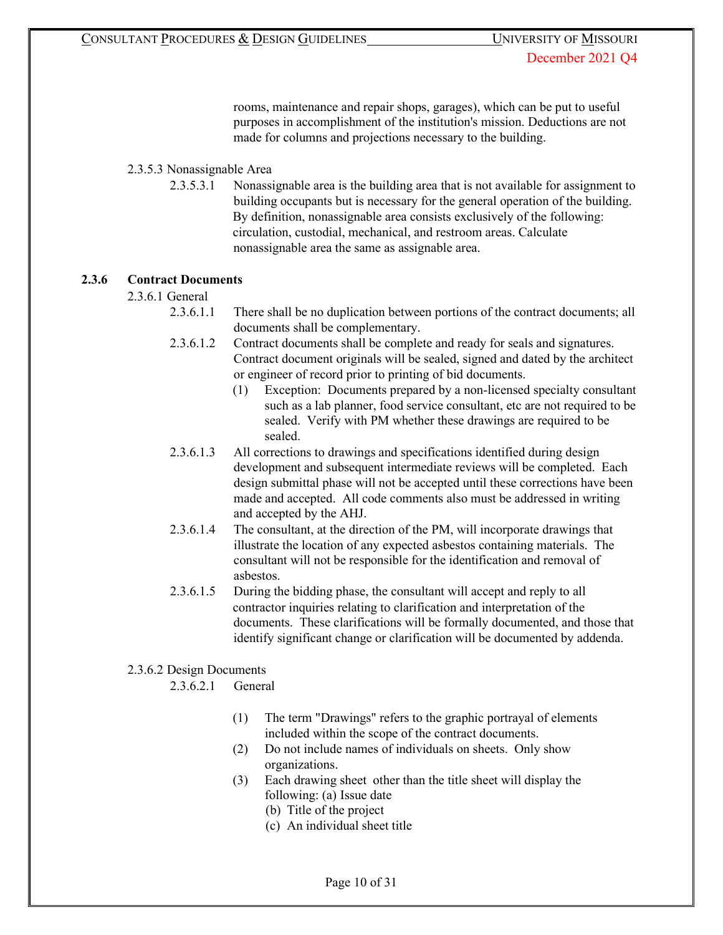rooms, maintenance and repair shops, garages), which can be put to useful purposes in accomplishment of the institution's mission. Deductions are not made for columns and projections necessary to the building.

# 2.3.5.3 Nonassignable Area

2.3.5.3.1 Nonassignable area is the building area that is not available for assignment to building occupants but is necessary for the general operation of the building. By definition, nonassignable area consists exclusively of the following: circulation, custodial, mechanical, and restroom areas. Calculate nonassignable area the same as assignable area.

## **2.3.6 Contract Documents**

- 2.3.6.1 General
	- 2.3.6.1.1 There shall be no duplication between portions of the contract documents; all documents shall be complementary.
	- 2.3.6.1.2 Contract documents shall be complete and ready for seals and signatures. Contract document originals will be sealed, signed and dated by the architect or engineer of record prior to printing of bid documents.
		- (1) Exception: Documents prepared by a non-licensed specialty consultant such as a lab planner, food service consultant, etc are not required to be sealed. Verify with PM whether these drawings are required to be sealed.
	- 2.3.6.1.3 All corrections to drawings and specifications identified during design development and subsequent intermediate reviews will be completed. Each design submittal phase will not be accepted until these corrections have been made and accepted. All code comments also must be addressed in writing and accepted by the AHJ.
	- 2.3.6.1.4 The consultant, at the direction of the PM, will incorporate drawings that illustrate the location of any expected asbestos containing materials. The consultant will not be responsible for the identification and removal of asbestos.
	- 2.3.6.1.5 During the bidding phase, the consultant will accept and reply to all contractor inquiries relating to clarification and interpretation of the documents. These clarifications will be formally documented, and those that identify significant change or clarification will be documented by addenda.

## 2.3.6.2 Design Documents

2.3.6.2.1 General

- (1) The term "Drawings" refers to the graphic portrayal of elements included within the scope of the contract documents.
- (2) Do not include names of individuals on sheets. Only show organizations.
- (3) Each drawing sheet other than the title sheet will display the following: (a) Issue date
	- (b) Title of the project
	- (c) An individual sheet title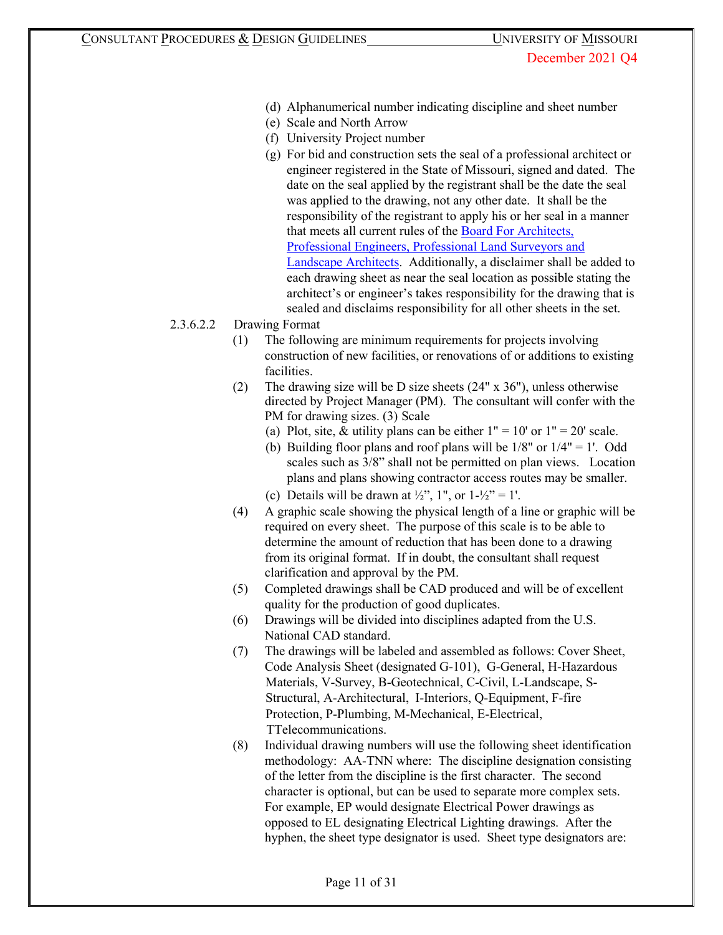- (d) Alphanumerical number indicating discipline and sheet number
- (e) Scale and North Arrow
- (f) University Project number
- (g) For bid and construction sets the seal of a professional architect or engineer registered in the State of Missouri, signed and dated. The date on the seal applied by the registrant shall be the date the seal was applied to the drawing, not any other date. It shall be the responsibility of the registrant to apply his or her seal in a manner that meets all current rules of the [Board For Architects,](http://pr.mo.gov/apelsla.asp) [Professional Engineers, Professional Land Surveyors and](http://pr.mo.gov/apelsla.asp) [Landscape](http://pr.mo.gov/apelsla.asp) [Architects.](http://pr.mo.gov/apelsla.asp) Additionally, a disclaimer shall be added to each drawing sheet as near the seal location as possible stating the architect's or engineer's takes responsibility for the drawing that is sealed and disclaims responsibility for all other sheets in the set.
- 2.3.6.2.2 Drawing Format
	- (1) The following are minimum requirements for projects involving construction of new facilities, or renovations of or additions to existing facilities.
	- (2) The drawing size will be D size sheets (24" x 36"), unless otherwise directed by Project Manager (PM). The consultant will confer with the PM for drawing sizes. (3) Scale
		- (a) Plot, site, & utility plans can be either  $1" = 10'$  or  $1" = 20'$  scale.
		- (b) Building floor plans and roof plans will be  $1/8$ " or  $1/4$ " = 1'. Odd scales such as 3/8" shall not be permitted on plan views. Location plans and plans showing contractor access routes may be smaller.
		- (c) Details will be drawn at  $\frac{1}{2}$ , 1", or  $1-\frac{1}{2}$ " = 1'.
	- (4) A graphic scale showing the physical length of a line or graphic will be required on every sheet. The purpose of this scale is to be able to determine the amount of reduction that has been done to a drawing from its original format. If in doubt, the consultant shall request clarification and approval by the PM.
	- (5) Completed drawings shall be CAD produced and will be of excellent quality for the production of good duplicates.
	- (6) Drawings will be divided into disciplines adapted from the U.S. National CAD standard.
	- (7) The drawings will be labeled and assembled as follows: Cover Sheet, Code Analysis Sheet (designated G-101), G-General, H-Hazardous Materials, V-Survey, B-Geotechnical, C-Civil, L-Landscape, S-Structural, A-Architectural, I-Interiors, Q-Equipment, F-fire Protection, P-Plumbing, M-Mechanical, E-Electrical, TTelecommunications.
	- (8) Individual drawing numbers will use the following sheet identification methodology: AA-TNN where: The discipline designation consisting of the letter from the discipline is the first character. The second character is optional, but can be used to separate more complex sets. For example, EP would designate Electrical Power drawings as opposed to EL designating Electrical Lighting drawings. After the hyphen, the sheet type designator is used. Sheet type designators are: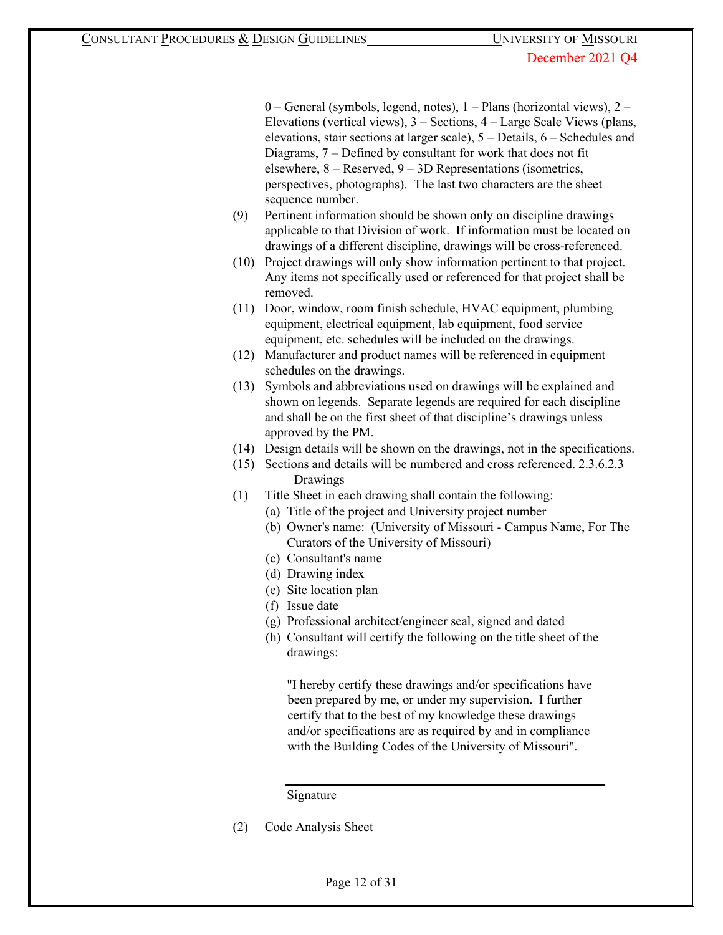$0$  – General (symbols, legend, notes),  $1$  – Plans (horizontal views),  $2$  – Elevations (vertical views), 3 – Sections, 4 – Large Scale Views (plans, elevations, stair sections at larger scale), 5 – Details, 6 – Schedules and Diagrams, 7 – Defined by consultant for work that does not fit elsewhere, 8 – Reserved, 9 – 3D Representations (isometrics, perspectives, photographs). The last two characters are the sheet sequence number.

- (9) Pertinent information should be shown only on discipline drawings applicable to that Division of work. If information must be located on drawings of a different discipline, drawings will be cross-referenced.
- (10) Project drawings will only show information pertinent to that project. Any items not specifically used or referenced for that project shall be removed.
- (11) Door, window, room finish schedule, HVAC equipment, plumbing equipment, electrical equipment, lab equipment, food service equipment, etc. schedules will be included on the drawings.
- (12) Manufacturer and product names will be referenced in equipment schedules on the drawings.
- (13) Symbols and abbreviations used on drawings will be explained and shown on legends. Separate legends are required for each discipline and shall be on the first sheet of that discipline's drawings unless approved by the PM.
- (14) Design details will be shown on the drawings, not in the specifications.
- (15) Sections and details will be numbered and cross referenced. 2.3.6.2.3 Drawings
- (1) Title Sheet in each drawing shall contain the following:
	- (a) Title of the project and University project number
	- (b) Owner's name: (University of Missouri Campus Name, For The Curators of the University of Missouri)
	- (c) Consultant's name
	- (d) Drawing index
	- (e) Site location plan
	- (f) Issue date
	- (g) Professional architect/engineer seal, signed and dated
	- (h) Consultant will certify the following on the title sheet of the drawings:

"I hereby certify these drawings and/or specifications have been prepared by me, or under my supervision. I further certify that to the best of my knowledge these drawings and/or specifications are as required by and in compliance with the Building Codes of the University of Missouri".

Signature

(2) Code Analysis Sheet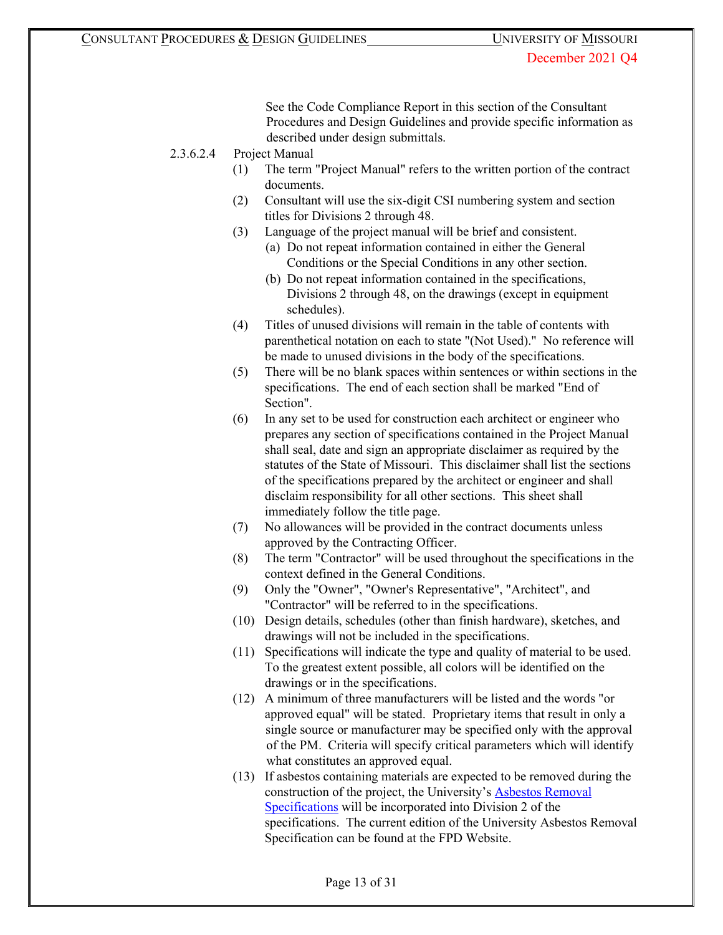See the Code Compliance Report in this section of the Consultant Procedures and Design Guidelines and provide specific information as described under design submittals.

2.3.6.2.4 Project Manual

- (1) The term "Project Manual" refers to the written portion of the contract documents.
- (2) Consultant will use the six-digit CSI numbering system and section titles for Divisions 2 through 48.
- (3) Language of the project manual will be brief and consistent.
	- (a) Do not repeat information contained in either the General Conditions or the Special Conditions in any other section.
	- (b) Do not repeat information contained in the specifications, Divisions 2 through 48, on the drawings (except in equipment schedules).
- (4) Titles of unused divisions will remain in the table of contents with parenthetical notation on each to state "(Not Used)." No reference will be made to unused divisions in the body of the specifications.
- (5) There will be no blank spaces within sentences or within sections in the specifications. The end of each section shall be marked "End of Section".
- (6) In any set to be used for construction each architect or engineer who prepares any section of specifications contained in the Project Manual shall seal, date and sign an appropriate disclaimer as required by the statutes of the State of Missouri. This disclaimer shall list the sections of the specifications prepared by the architect or engineer and shall disclaim responsibility for all other sections. This sheet shall immediately follow the title page.
- (7) No allowances will be provided in the contract documents unless approved by the Contracting Officer.
- (8) The term "Contractor" will be used throughout the specifications in the context defined in the General Conditions.
- (9) Only the "Owner", "Owner's Representative", "Architect", and "Contractor" will be referred to in the specifications.
- (10) Design details, schedules (other than finish hardware), sketches, and drawings will not be included in the specifications.
- (11) Specifications will indicate the type and quality of material to be used. To the greatest extent possible, all colors will be identified on the drawings or in the specifications.
- (12) A minimum of three manufacturers will be listed and the words "or approved equal" will be stated. Proprietary items that result in only a single source or manufacturer may be specified only with the approval of the PM. Criteria will specify critical parameters which will identify what constitutes an approved equal.
- (13) If asbestos containing materials are expected to be removed during the construction of the project, the University's [Asbestos Removal](http://www.umsystem.edu/media/asbestosspec0101.doc) [Specifications](http://www.umsystem.edu/media/asbestosspec0101.doc) will be incorporated into Division 2 of the specifications. The current edition of the University Asbestos Removal Specification can be found at the FPD Website.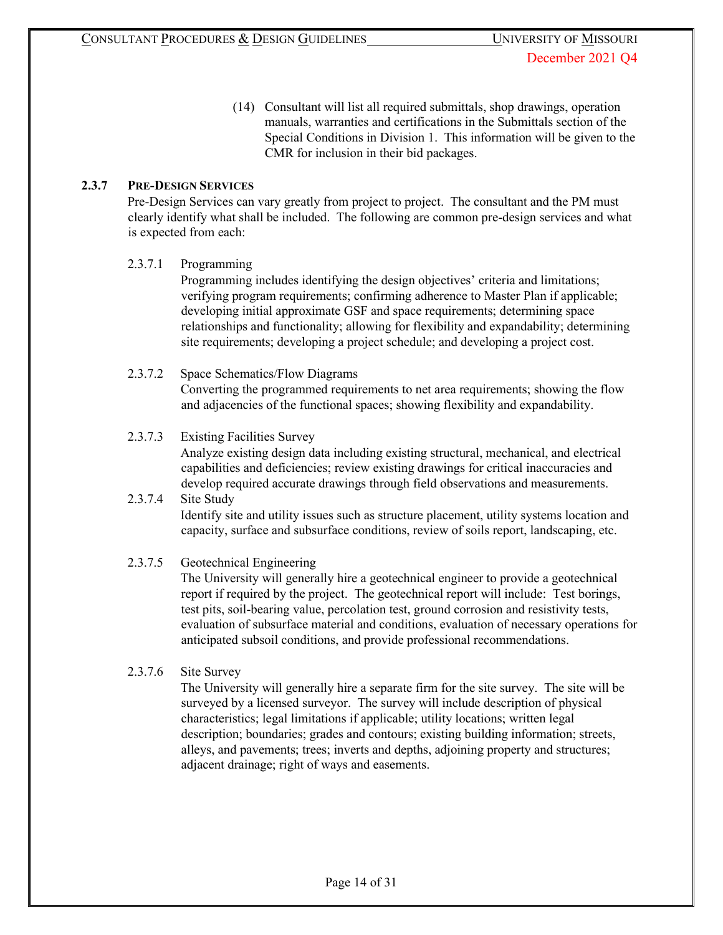(14) Consultant will list all required submittals, shop drawings, operation manuals, warranties and certifications in the Submittals section of the Special Conditions in Division 1. This information will be given to the CMR for inclusion in their bid packages.

# **2.3.7 PRE-DESIGN SERVICES**

Pre-Design Services can vary greatly from project to project. The consultant and the PM must clearly identify what shall be included. The following are common pre-design services and what is expected from each:

## 2.3.7.1 Programming

Programming includes identifying the design objectives' criteria and limitations; verifying program requirements; confirming adherence to Master Plan if applicable; developing initial approximate GSF and space requirements; determining space relationships and functionality; allowing for flexibility and expandability; determining site requirements; developing a project schedule; and developing a project cost.

#### 2.3.7.2 Space Schematics/Flow Diagrams

Converting the programmed requirements to net area requirements; showing the flow and adjacencies of the functional spaces; showing flexibility and expandability.

#### 2.3.7.3 Existing Facilities Survey

Analyze existing design data including existing structural, mechanical, and electrical capabilities and deficiencies; review existing drawings for critical inaccuracies and develop required accurate drawings through field observations and measurements.

## 2.3.7.4 Site Study Identify site and utility issues such as structure placement, utility systems location and capacity, surface and subsurface conditions, review of soils report, landscaping, etc.

## 2.3.7.5 Geotechnical Engineering

The University will generally hire a geotechnical engineer to provide a geotechnical report if required by the project. The geotechnical report will include: Test borings, test pits, soil-bearing value, percolation test, ground corrosion and resistivity tests, evaluation of subsurface material and conditions, evaluation of necessary operations for anticipated subsoil conditions, and provide professional recommendations.

## 2.3.7.6 Site Survey

The University will generally hire a separate firm for the site survey. The site will be surveyed by a licensed surveyor. The survey will include description of physical characteristics; legal limitations if applicable; utility locations; written legal description; boundaries; grades and contours; existing building information; streets, alleys, and pavements; trees; inverts and depths, adjoining property and structures; adjacent drainage; right of ways and easements.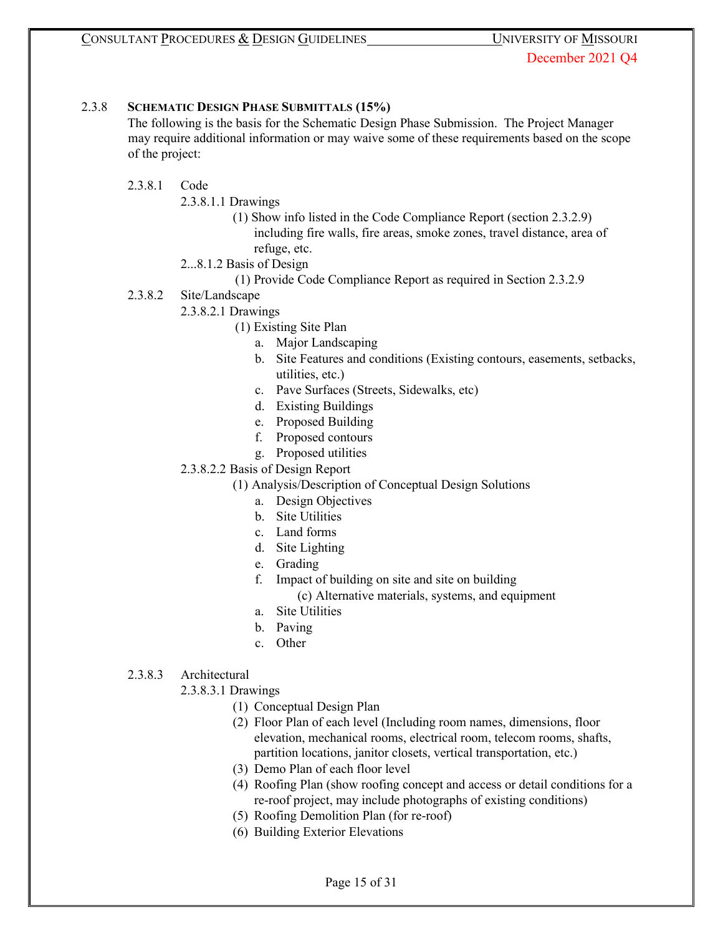#### 2.3.8 **SCHEMATIC DESIGN PHASE SUBMITTALS (15%)**

The following is the basis for the Schematic Design Phase Submission. The Project Manager may require additional information or may waive some of these requirements based on the scope of the project:

#### 2.3.8.1 Code

- 2.3.8.1.1 Drawings
	- (1) Show info listed in the Code Compliance Report (section 2.3.2.9) including fire walls, fire areas, smoke zones, travel distance, area of refuge, etc.
- 2...8.1.2 Basis of Design
	- (1) Provide Code Compliance Report as required in Section 2.3.2.9

#### 2.3.8.2 Site/Landscape

- 2.3.8.2.1 Drawings
	- (1) Existing Site Plan
		- a. Major Landscaping
		- b. Site Features and conditions (Existing contours, easements, setbacks, utilities, etc.)
		- c. Pave Surfaces (Streets, Sidewalks, etc)
		- d. Existing Buildings
		- e. Proposed Building
		- f. Proposed contours
		- g. Proposed utilities
	- 2.3.8.2.2 Basis of Design Report
		- (1) Analysis/Description of Conceptual Design Solutions
			- a. Design Objectives
			- b. Site Utilities
			- c. Land forms
			- d. Site Lighting
			- e. Grading
			- f. Impact of building on site and site on building
				- (c) Alternative materials, systems, and equipment
			- a. Site Utilities
			- b. Paving
			- c. Other

## 2.3.8.3 Architectural

2.3.8.3.1 Drawings

- (1) Conceptual Design Plan
- (2) Floor Plan of each level (Including room names, dimensions, floor elevation, mechanical rooms, electrical room, telecom rooms, shafts, partition locations, janitor closets, vertical transportation, etc.)
- (3) Demo Plan of each floor level
- (4) Roofing Plan (show roofing concept and access or detail conditions for a re-roof project, may include photographs of existing conditions)
- (5) Roofing Demolition Plan (for re-roof)
- (6) Building Exterior Elevations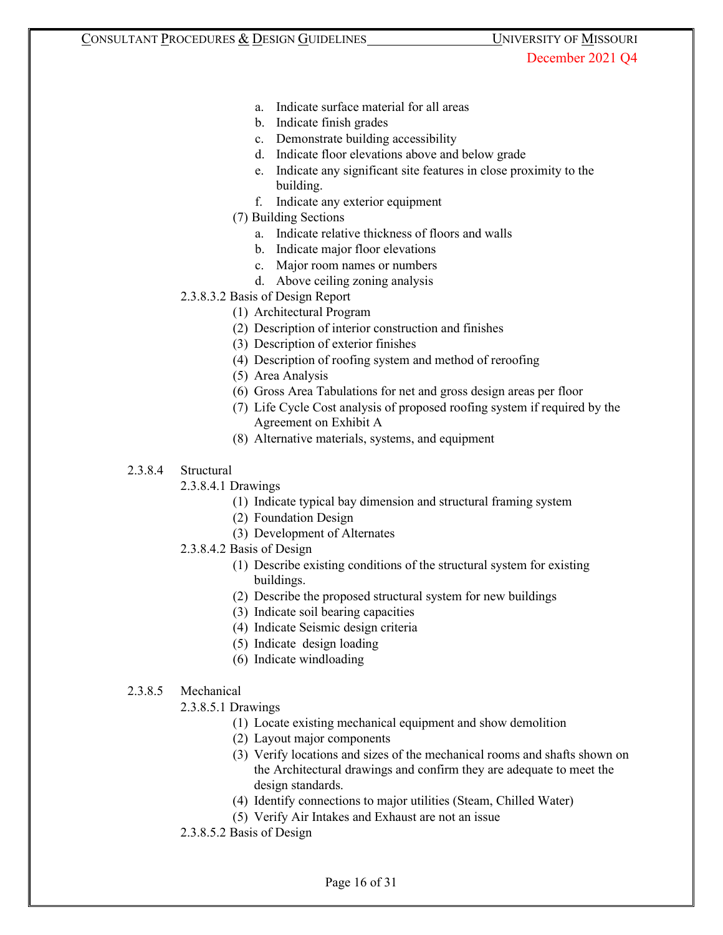- a. Indicate surface material for all areas
- b. Indicate finish grades
- c. Demonstrate building accessibility
- d. Indicate floor elevations above and below grade
- e. Indicate any significant site features in close proximity to the building.
- f. Indicate any exterior equipment
- (7) Building Sections
	- a. Indicate relative thickness of floors and walls
	- b. Indicate major floor elevations
	- c. Major room names or numbers
	- d. Above ceiling zoning analysis
- 2.3.8.3.2 Basis of Design Report
	- (1) Architectural Program
	- (2) Description of interior construction and finishes
	- (3) Description of exterior finishes
	- (4) Description of roofing system and method of reroofing
	- (5) Area Analysis
	- (6) Gross Area Tabulations for net and gross design areas per floor
	- (7) Life Cycle Cost analysis of proposed roofing system if required by the Agreement on Exhibit A
	- (8) Alternative materials, systems, and equipment

#### 2.3.8.4 Structural

- 2.3.8.4.1 Drawings
	- (1) Indicate typical bay dimension and structural framing system
		- (2) Foundation Design
		- (3) Development of Alternates
- 2.3.8.4.2 Basis of Design
	- (1) Describe existing conditions of the structural system for existing buildings.
	- (2) Describe the proposed structural system for new buildings
	- (3) Indicate soil bearing capacities
	- (4) Indicate Seismic design criteria
	- (5) Indicate design loading
	- (6) Indicate windloading

#### 2.3.8.5 Mechanical

- 2.3.8.5.1 Drawings
	- (1) Locate existing mechanical equipment and show demolition
	- (2) Layout major components
	- (3) Verify locations and sizes of the mechanical rooms and shafts shown on the Architectural drawings and confirm they are adequate to meet the design standards.
	- (4) Identify connections to major utilities (Steam, Chilled Water)
	- (5) Verify Air Intakes and Exhaust are not an issue
- 2.3.8.5.2 Basis of Design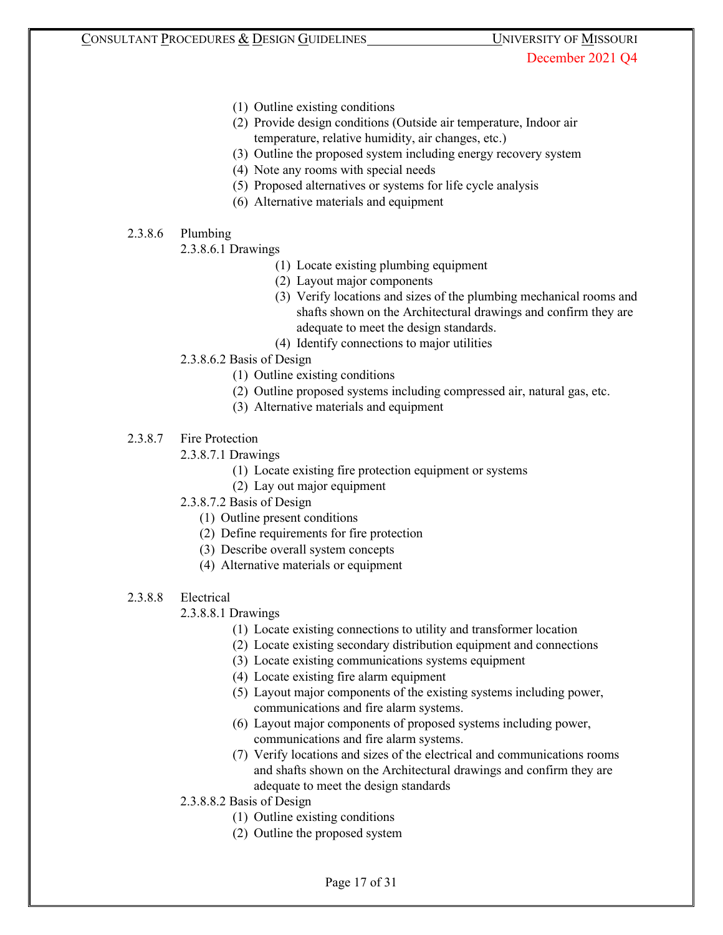- (1) Outline existing conditions
- (2) Provide design conditions (Outside air temperature, Indoor air temperature, relative humidity, air changes, etc.)
- (3) Outline the proposed system including energy recovery system
- (4) Note any rooms with special needs
- (5) Proposed alternatives or systems for life cycle analysis
- (6) Alternative materials and equipment
- 2.3.8.6 Plumbing
	- 2.3.8.6.1 Drawings
		- (1) Locate existing plumbing equipment
		- (2) Layout major components
		- (3) Verify locations and sizes of the plumbing mechanical rooms and shafts shown on the Architectural drawings and confirm they are adequate to meet the design standards.
		- (4) Identify connections to major utilities
	- 2.3.8.6.2 Basis of Design
		- (1) Outline existing conditions
		- (2) Outline proposed systems including compressed air, natural gas, etc.
		- (3) Alternative materials and equipment
- 2.3.8.7 Fire Protection
	- 2.3.8.7.1 Drawings
		- (1) Locate existing fire protection equipment or systems
		- (2) Lay out major equipment
	- 2.3.8.7.2 Basis of Design
		- (1) Outline present conditions
		- (2) Define requirements for fire protection
		- (3) Describe overall system concepts
		- (4) Alternative materials or equipment
- 2.3.8.8 Electrical

## 2.3.8.8.1 Drawings

- (1) Locate existing connections to utility and transformer location
- (2) Locate existing secondary distribution equipment and connections
- (3) Locate existing communications systems equipment
- (4) Locate existing fire alarm equipment
- (5) Layout major components of the existing systems including power, communications and fire alarm systems.
- (6) Layout major components of proposed systems including power, communications and fire alarm systems.
- (7) Verify locations and sizes of the electrical and communications rooms and shafts shown on the Architectural drawings and confirm they are adequate to meet the design standards
- 2.3.8.8.2 Basis of Design
	- (1) Outline existing conditions
	- (2) Outline the proposed system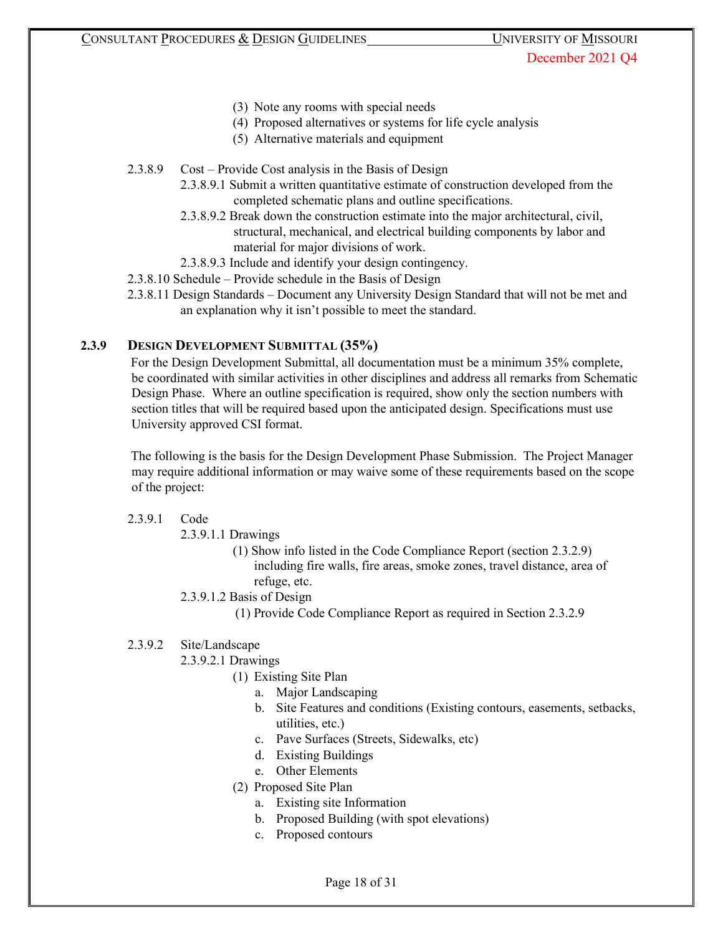- (3) Note any rooms with special needs
- (4) Proposed alternatives or systems for life cycle analysis
- (5) Alternative materials and equipment
- 2.3.8.9 Cost Provide Cost analysis in the Basis of Design
	- 2.3.8.9.1 Submit a written quantitative estimate of construction developed from the completed schematic plans and outline specifications.
	- 2.3.8.9.2 Break down the construction estimate into the major architectural, civil, structural, mechanical, and electrical building components by labor and material for major divisions of work.
	- 2.3.8.9.3 Include and identify your design contingency.
- 2.3.8.10 Schedule Provide schedule in the Basis of Design
- 2.3.8.11 Design Standards Document any University Design Standard that will not be met and an explanation why it isn't possible to meet the standard.

## **2.3.9 DESIGN DEVELOPMENT SUBMITTAL (35%)**

For the Design Development Submittal, all documentation must be a minimum 35% complete, be coordinated with similar activities in other disciplines and address all remarks from Schematic Design Phase. Where an outline specification is required, show only the section numbers with section titles that will be required based upon the anticipated design. Specifications must use University approved CSI format.

The following is the basis for the Design Development Phase Submission. The Project Manager may require additional information or may waive some of these requirements based on the scope of the project:

#### 2.3.9.1 Code

2.3.9.1.1 Drawings

- (1) Show info listed in the Code Compliance Report (section 2.3.2.9) including fire walls, fire areas, smoke zones, travel distance, area of refuge, etc.
- 2.3.9.1.2 Basis of Design
	- (1) Provide Code Compliance Report as required in Section 2.3.2.9

## 2.3.9.2 Site/Landscape

- 2.3.9.2.1 Drawings
	- (1) Existing Site Plan
		- a. Major Landscaping
		- b. Site Features and conditions (Existing contours, easements, setbacks, utilities, etc.)
		- c. Pave Surfaces (Streets, Sidewalks, etc)
		- d. Existing Buildings
		- e. Other Elements
	- (2) Proposed Site Plan
		- a. Existing site Information
		- b. Proposed Building (with spot elevations)
		- c. Proposed contours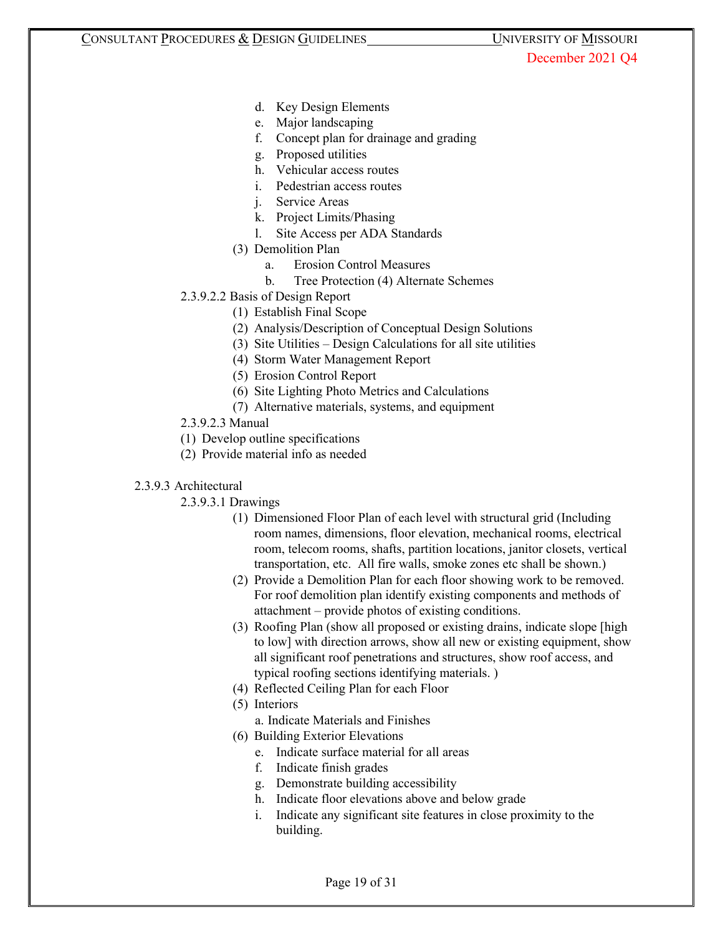- d. Key Design Elements
- e. Major landscaping
- f. Concept plan for drainage and grading
- g. Proposed utilities
- h. Vehicular access routes
- i. Pedestrian access routes
- j. Service Areas
- k. Project Limits/Phasing
- l. Site Access per ADA Standards
- (3) Demolition Plan
	- a. Erosion Control Measures
	- b. Tree Protection (4) Alternate Schemes
- 2.3.9.2.2 Basis of Design Report
	- (1) Establish Final Scope
	- (2) Analysis/Description of Conceptual Design Solutions
	- (3) Site Utilities Design Calculations for all site utilities
	- (4) Storm Water Management Report
	- (5) Erosion Control Report
	- (6) Site Lighting Photo Metrics and Calculations
	- (7) Alternative materials, systems, and equipment
- 2.3.9.2.3 Manual
- (1) Develop outline specifications
- (2) Provide material info as needed

#### 2.3.9.3 Architectural

- 2.3.9.3.1 Drawings
	- (1) Dimensioned Floor Plan of each level with structural grid (Including room names, dimensions, floor elevation, mechanical rooms, electrical room, telecom rooms, shafts, partition locations, janitor closets, vertical transportation, etc. All fire walls, smoke zones etc shall be shown.)
	- (2) Provide a Demolition Plan for each floor showing work to be removed. For roof demolition plan identify existing components and methods of attachment – provide photos of existing conditions.
	- (3) Roofing Plan (show all proposed or existing drains, indicate slope [high to low] with direction arrows, show all new or existing equipment, show all significant roof penetrations and structures, show roof access, and typical roofing sections identifying materials. )
	- (4) Reflected Ceiling Plan for each Floor
	- (5) Interiors
		- a. Indicate Materials and Finishes
	- (6) Building Exterior Elevations
		- e. Indicate surface material for all areas
		- f. Indicate finish grades
		- g. Demonstrate building accessibility
		- h. Indicate floor elevations above and below grade
		- i. Indicate any significant site features in close proximity to the building.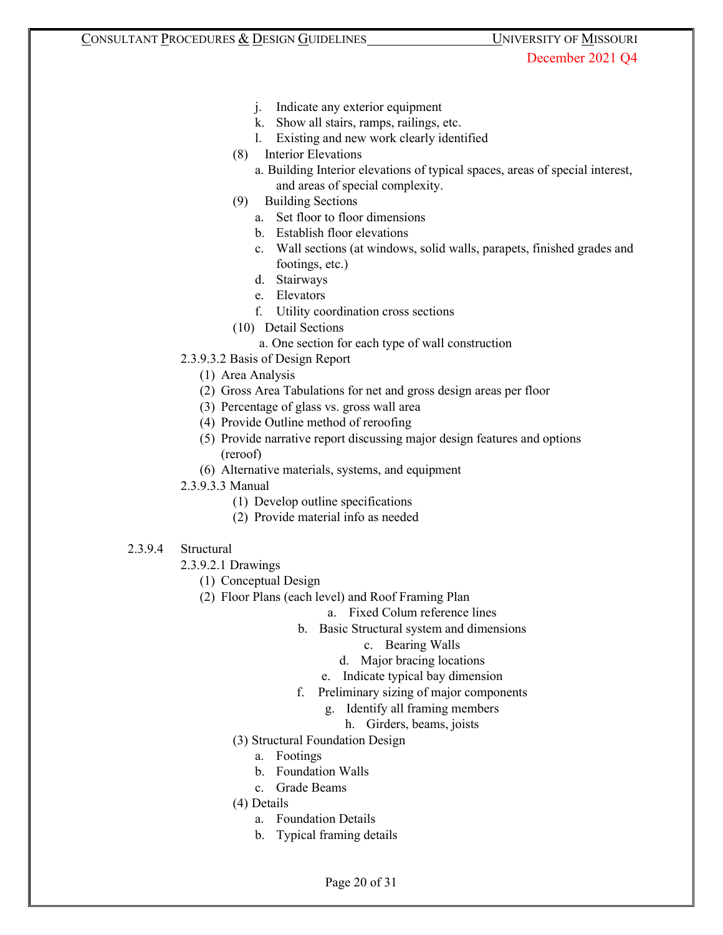- j. Indicate any exterior equipment
- k. Show all stairs, ramps, railings, etc.
- l. Existing and new work clearly identified
- (8) Interior Elevations
	- a. Building Interior elevations of typical spaces, areas of special interest, and areas of special complexity.
- (9) Building Sections
	- a. Set floor to floor dimensions
	- b. Establish floor elevations
	- c. Wall sections (at windows, solid walls, parapets, finished grades and footings, etc.)
	- d. Stairways
	- e. Elevators
	- f. Utility coordination cross sections
- (10) Detail Sections
	- a. One section for each type of wall construction
- 2.3.9.3.2 Basis of Design Report
	- (1) Area Analysis
	- (2) Gross Area Tabulations for net and gross design areas per floor
	- (3) Percentage of glass vs. gross wall area
	- (4) Provide Outline method of reroofing
	- (5) Provide narrative report discussing major design features and options (reroof)
	- (6) Alternative materials, systems, and equipment
- 2.3.9.3.3 Manual
	- (1) Develop outline specifications
	- (2) Provide material info as needed
- 2.3.9.4 Structural
	- 2.3.9.2.1 Drawings
		- (1) Conceptual Design
		- (2) Floor Plans (each level) and Roof Framing Plan
			- a. Fixed Colum reference lines
			- b. Basic Structural system and dimensions
				- c. Bearing Walls
				- d. Major bracing locations
				- e. Indicate typical bay dimension
			- f. Preliminary sizing of major components
				- g. Identify all framing members
					- h. Girders, beams, joists
			- (3) Structural Foundation Design
				- a. Footings
				- b. Foundation Walls
				- c. Grade Beams
			- (4) Details
				- a. Foundation Details
				- b. Typical framing details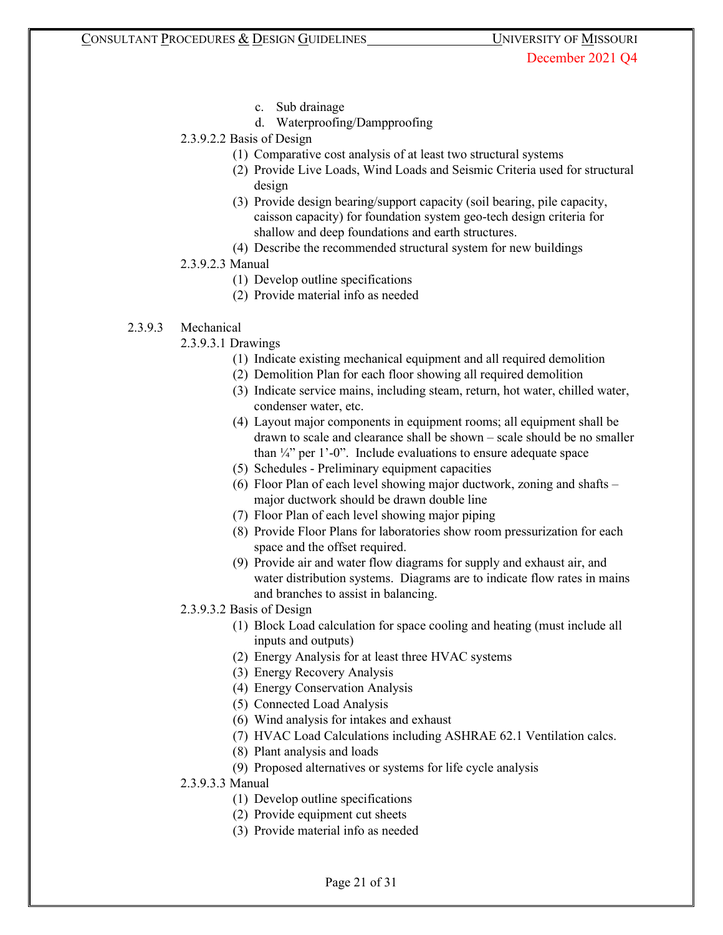- c. Sub drainage
- d. Waterproofing/Dampproofing
- 2.3.9.2.2 Basis of Design
	- (1) Comparative cost analysis of at least two structural systems
	- (2) Provide Live Loads, Wind Loads and Seismic Criteria used for structural design
	- (3) Provide design bearing/support capacity (soil bearing, pile capacity, caisson capacity) for foundation system geo-tech design criteria for shallow and deep foundations and earth structures.
	- (4) Describe the recommended structural system for new buildings

#### 2.3.9.2.3 Manual

- (1) Develop outline specifications
- (2) Provide material info as needed

## 2.3.9.3 Mechanical

- 2.3.9.3.1 Drawings
	- (1) Indicate existing mechanical equipment and all required demolition
	- (2) Demolition Plan for each floor showing all required demolition
	- (3) Indicate service mains, including steam, return, hot water, chilled water, condenser water, etc.
	- (4) Layout major components in equipment rooms; all equipment shall be drawn to scale and clearance shall be shown – scale should be no smaller than  $\frac{1}{4}$ " per 1'-0". Include evaluations to ensure adequate space
	- (5) Schedules Preliminary equipment capacities
	- (6) Floor Plan of each level showing major ductwork, zoning and shafts major ductwork should be drawn double line
	- (7) Floor Plan of each level showing major piping
	- (8) Provide Floor Plans for laboratories show room pressurization for each space and the offset required.
	- (9) Provide air and water flow diagrams for supply and exhaust air, and water distribution systems. Diagrams are to indicate flow rates in mains and branches to assist in balancing.
- 2.3.9.3.2 Basis of Design
	- (1) Block Load calculation for space cooling and heating (must include all inputs and outputs)
	- (2) Energy Analysis for at least three HVAC systems
	- (3) Energy Recovery Analysis
	- (4) Energy Conservation Analysis
	- (5) Connected Load Analysis
	- (6) Wind analysis for intakes and exhaust
	- (7) HVAC Load Calculations including ASHRAE 62.1 Ventilation calcs.
	- (8) Plant analysis and loads
	- (9) Proposed alternatives or systems for life cycle analysis
- 2.3.9.3.3 Manual
	- (1) Develop outline specifications
	- (2) Provide equipment cut sheets
	- (3) Provide material info as needed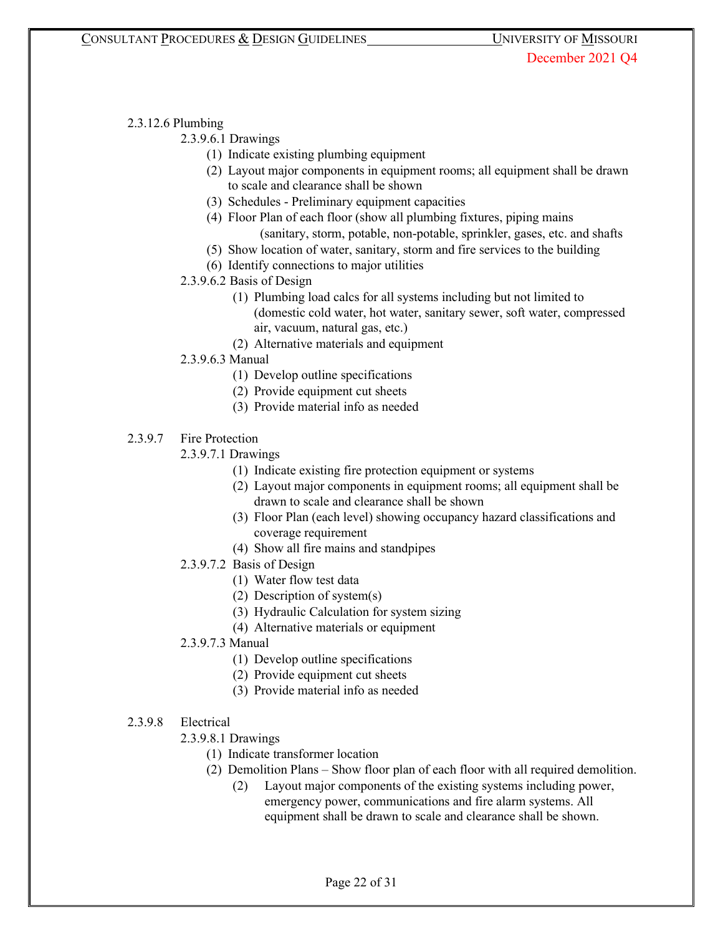# 2.3.12.6 Plumbing

2.3.9.6.1 Drawings

- (1) Indicate existing plumbing equipment
- (2) Layout major components in equipment rooms; all equipment shall be drawn to scale and clearance shall be shown
- (3) Schedules Preliminary equipment capacities
- (4) Floor Plan of each floor (show all plumbing fixtures, piping mains (sanitary, storm, potable, non-potable, sprinkler, gases, etc. and shafts
- (5) Show location of water, sanitary, storm and fire services to the building
- (6) Identify connections to major utilities
- 2.3.9.6.2 Basis of Design
	- (1) Plumbing load calcs for all systems including but not limited to (domestic cold water, hot water, sanitary sewer, soft water, compressed air, vacuum, natural gas, etc.)
	- (2) Alternative materials and equipment
- 2.3.9.6.3 Manual
	- (1) Develop outline specifications
	- (2) Provide equipment cut sheets
	- (3) Provide material info as needed
- 2.3.9.7 Fire Protection

2.3.9.7.1 Drawings

- (1) Indicate existing fire protection equipment or systems
- (2) Layout major components in equipment rooms; all equipment shall be drawn to scale and clearance shall be shown
- (3) Floor Plan (each level) showing occupancy hazard classifications and coverage requirement
- (4) Show all fire mains and standpipes
- 2.3.9.7.2 Basis of Design
	- (1) Water flow test data
	- (2) Description of system(s)
	- (3) Hydraulic Calculation for system sizing
	- (4) Alternative materials or equipment
- 2.3.9.7.3 Manual
	- (1) Develop outline specifications
	- (2) Provide equipment cut sheets
	- (3) Provide material info as needed
- 2.3.9.8 Electrical
	- 2.3.9.8.1 Drawings
		- (1) Indicate transformer location
		- (2) Demolition Plans Show floor plan of each floor with all required demolition.
			- (2) Layout major components of the existing systems including power, emergency power, communications and fire alarm systems. All equipment shall be drawn to scale and clearance shall be shown.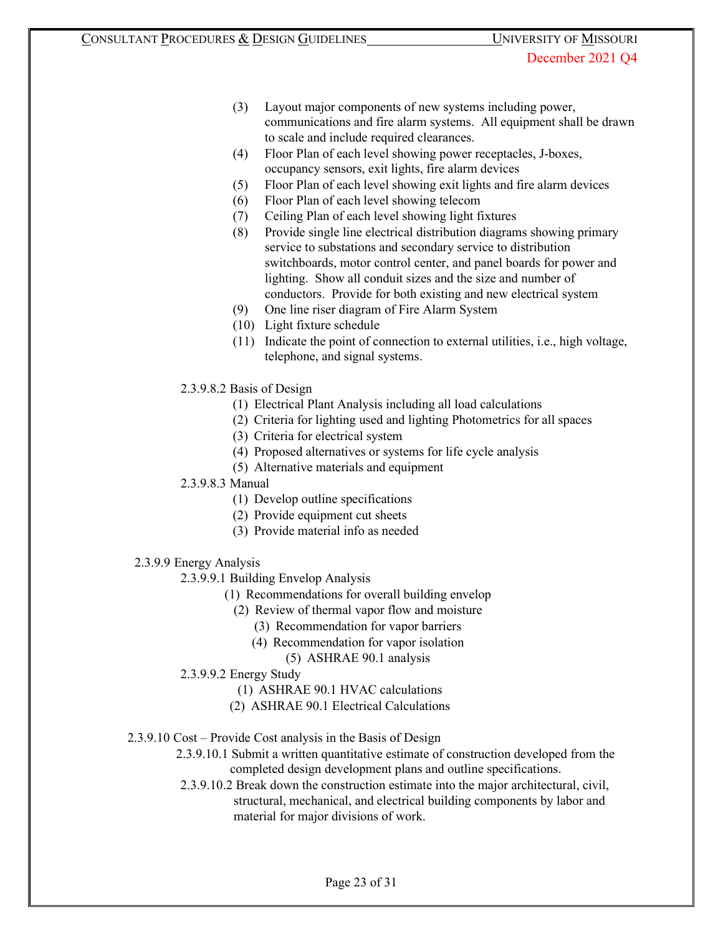- (3) Layout major components of new systems including power, communications and fire alarm systems. All equipment shall be drawn to scale and include required clearances.
- (4) Floor Plan of each level showing power receptacles, J-boxes, occupancy sensors, exit lights, fire alarm devices
- (5) Floor Plan of each level showing exit lights and fire alarm devices
- (6) Floor Plan of each level showing telecom
- (7) Ceiling Plan of each level showing light fixtures
- (8) Provide single line electrical distribution diagrams showing primary service to substations and secondary service to distribution switchboards, motor control center, and panel boards for power and lighting. Show all conduit sizes and the size and number of conductors. Provide for both existing and new electrical system
- (9) One line riser diagram of Fire Alarm System
- (10) Light fixture schedule
- (11) Indicate the point of connection to external utilities, i.e., high voltage, telephone, and signal systems.
- 2.3.9.8.2 Basis of Design
	- (1) Electrical Plant Analysis including all load calculations
	- (2) Criteria for lighting used and lighting Photometrics for all spaces
	- (3) Criteria for electrical system
	- (4) Proposed alternatives or systems for life cycle analysis
	- (5) Alternative materials and equipment
- 2.3.9.8.3 Manual
	- (1) Develop outline specifications
	- (2) Provide equipment cut sheets
	- (3) Provide material info as needed
- 2.3.9.9 Energy Analysis
	- 2.3.9.9.1 Building Envelop Analysis
		- (1) Recommendations for overall building envelop
			- (2) Review of thermal vapor flow and moisture
				- (3) Recommendation for vapor barriers
				- (4) Recommendation for vapor isolation
					- (5) ASHRAE 90.1 analysis
	- 2.3.9.9.2 Energy Study
		- (1) ASHRAE 90.1 HVAC calculations
		- (2) ASHRAE 90.1 Electrical Calculations
- 2.3.9.10 Cost Provide Cost analysis in the Basis of Design
	- 2.3.9.10.1 Submit a written quantitative estimate of construction developed from the completed design development plans and outline specifications.
	- 2.3.9.10.2 Break down the construction estimate into the major architectural, civil, structural, mechanical, and electrical building components by labor and material for major divisions of work.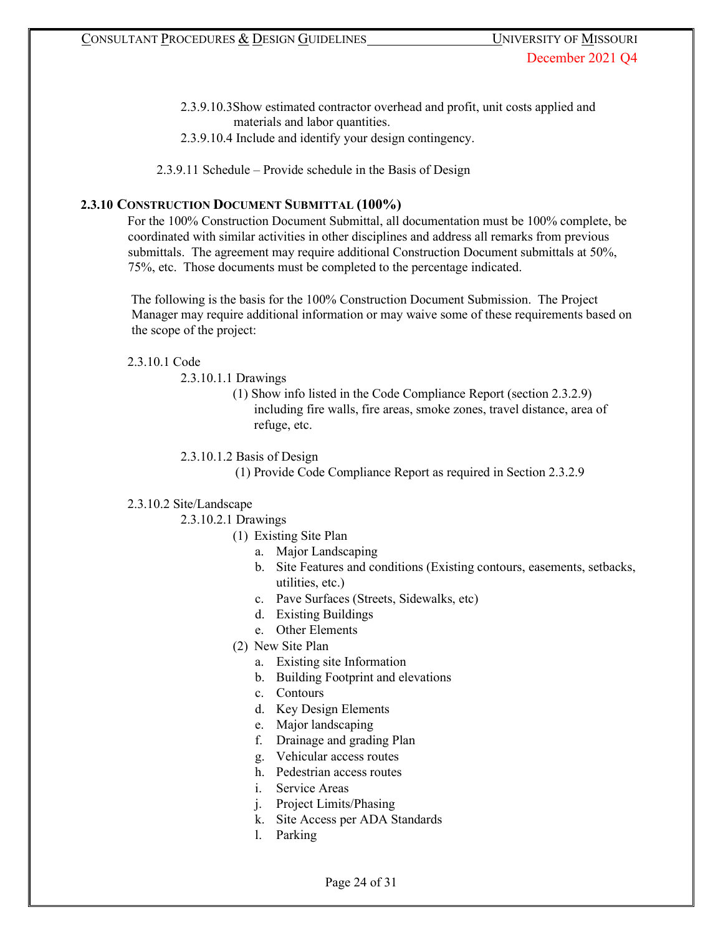- 2.3.9.10.3Show estimated contractor overhead and profit, unit costs applied and materials and labor quantities.
- 2.3.9.10.4 Include and identify your design contingency.

2.3.9.11 Schedule – Provide schedule in the Basis of Design

# **2.3.10 CONSTRUCTION DOCUMENT SUBMITTAL (100%)**

For the 100% Construction Document Submittal, all documentation must be 100% complete, be coordinated with similar activities in other disciplines and address all remarks from previous submittals. The agreement may require additional Construction Document submittals at 50%, 75%, etc. Those documents must be completed to the percentage indicated.

The following is the basis for the 100% Construction Document Submission. The Project Manager may require additional information or may waive some of these requirements based on the scope of the project:

#### 2.3.10.1 Code

2.3.10.1.1 Drawings

(1) Show info listed in the Code Compliance Report (section 2.3.2.9) including fire walls, fire areas, smoke zones, travel distance, area of refuge, etc.

2.3.10.1.2 Basis of Design

(1) Provide Code Compliance Report as required in Section 2.3.2.9

#### 2.3.10.2 Site/Landscape

2.3.10.2.1 Drawings

- (1) Existing Site Plan
	- a. Major Landscaping
	- b. Site Features and conditions (Existing contours, easements, setbacks, utilities, etc.)
	- c. Pave Surfaces (Streets, Sidewalks, etc)
	- d. Existing Buildings
	- e. Other Elements
- (2) New Site Plan
	- a. Existing site Information
	- b. Building Footprint and elevations
	- c. Contours
	- d. Key Design Elements
	- e. Major landscaping
	- f. Drainage and grading Plan
	- g. Vehicular access routes
	- h. Pedestrian access routes
	- i. Service Areas
	- j. Project Limits/Phasing
	- k. Site Access per ADA Standards
	- l. Parking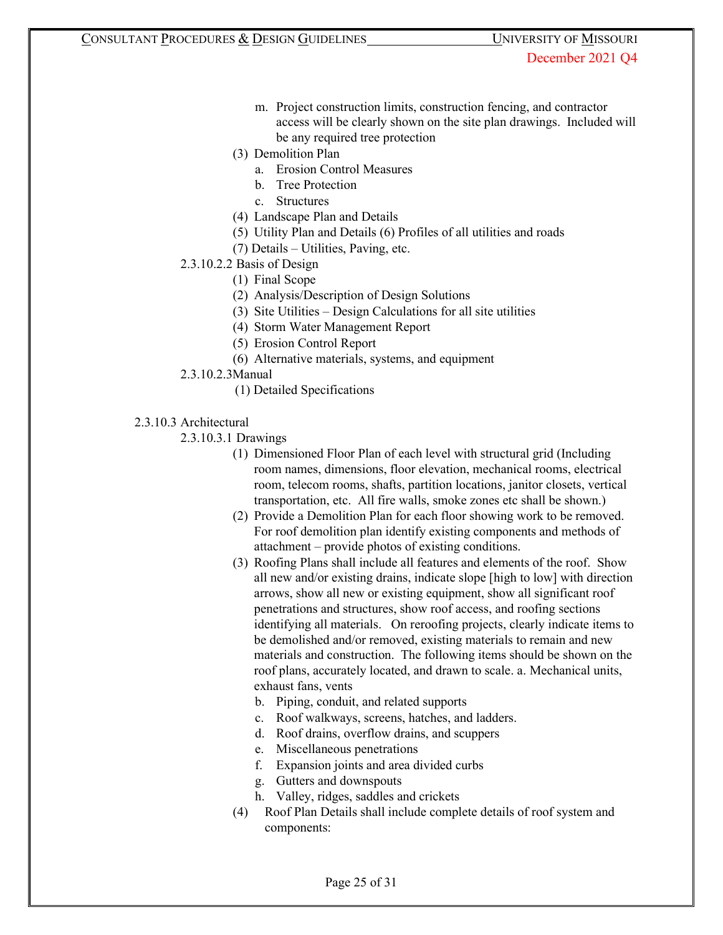- m. Project construction limits, construction fencing, and contractor access will be clearly shown on the site plan drawings. Included will be any required tree protection
- (3) Demolition Plan
	- a. Erosion Control Measures
	- b. Tree Protection
	- c. Structures
- (4) Landscape Plan and Details
- (5) Utility Plan and Details (6) Profiles of all utilities and roads
- (7) Details Utilities, Paving, etc.
- 2.3.10.2.2 Basis of Design
	- (1) Final Scope
	- (2) Analysis/Description of Design Solutions
	- (3) Site Utilities Design Calculations for all site utilities
	- (4) Storm Water Management Report
	- (5) Erosion Control Report
	- (6) Alternative materials, systems, and equipment
- 2.3.10.2.3Manual
	- (1) Detailed Specifications
- 2.3.10.3 Architectural
	- 2.3.10.3.1 Drawings
		- (1) Dimensioned Floor Plan of each level with structural grid (Including room names, dimensions, floor elevation, mechanical rooms, electrical room, telecom rooms, shafts, partition locations, janitor closets, vertical transportation, etc. All fire walls, smoke zones etc shall be shown.)
		- (2) Provide a Demolition Plan for each floor showing work to be removed. For roof demolition plan identify existing components and methods of attachment – provide photos of existing conditions.
		- (3) Roofing Plans shall include all features and elements of the roof. Show all new and/or existing drains, indicate slope [high to low] with direction arrows, show all new or existing equipment, show all significant roof penetrations and structures, show roof access, and roofing sections identifying all materials. On reroofing projects, clearly indicate items to be demolished and/or removed, existing materials to remain and new materials and construction. The following items should be shown on the roof plans, accurately located, and drawn to scale. a. Mechanical units, exhaust fans, vents
			- b. Piping, conduit, and related supports
			- c. Roof walkways, screens, hatches, and ladders.
			- d. Roof drains, overflow drains, and scuppers
			- e. Miscellaneous penetrations
			- f. Expansion joints and area divided curbs
			- g. Gutters and downspouts
			- h. Valley, ridges, saddles and crickets
		- (4) Roof Plan Details shall include complete details of roof system and components: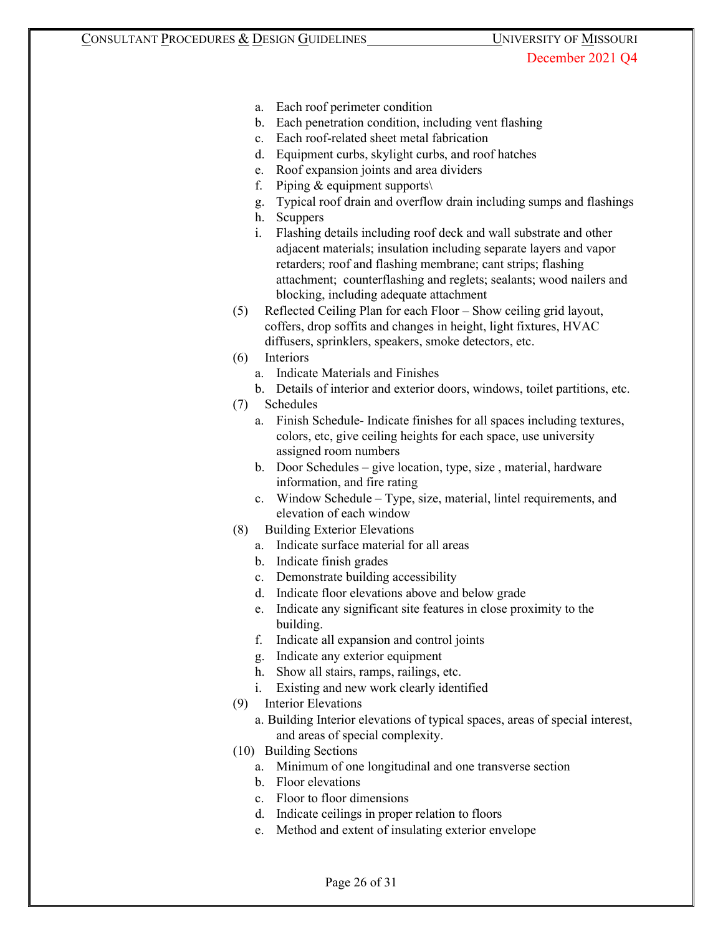- a. Each roof perimeter condition
- b. Each penetration condition, including vent flashing
- c. Each roof-related sheet metal fabrication
- d. Equipment curbs, skylight curbs, and roof hatches
- e. Roof expansion joints and area dividers
- f. Piping  $&$  equipment supports $\setminus$
- g. Typical roof drain and overflow drain including sumps and flashings
- h. Scuppers
- i. Flashing details including roof deck and wall substrate and other adjacent materials; insulation including separate layers and vapor retarders; roof and flashing membrane; cant strips; flashing attachment; counterflashing and reglets; sealants; wood nailers and blocking, including adequate attachment
- (5) Reflected Ceiling Plan for each Floor Show ceiling grid layout, coffers, drop soffits and changes in height, light fixtures, HVAC diffusers, sprinklers, speakers, smoke detectors, etc.
- (6) Interiors
	- a. Indicate Materials and Finishes
	- b. Details of interior and exterior doors, windows, toilet partitions, etc.
- (7) Schedules
	- a. Finish Schedule- Indicate finishes for all spaces including textures, colors, etc, give ceiling heights for each space, use university assigned room numbers
	- b. Door Schedules give location, type, size , material, hardware information, and fire rating
	- c. Window Schedule Type, size, material, lintel requirements, and elevation of each window
- (8) Building Exterior Elevations
	- a. Indicate surface material for all areas
	- b. Indicate finish grades
	- c. Demonstrate building accessibility
	- d. Indicate floor elevations above and below grade
	- e. Indicate any significant site features in close proximity to the building.
	- f. Indicate all expansion and control joints
	- g. Indicate any exterior equipment
	- h. Show all stairs, ramps, railings, etc.
	- i. Existing and new work clearly identified
- (9) Interior Elevations
	- a. Building Interior elevations of typical spaces, areas of special interest, and areas of special complexity.
- (10) Building Sections
	- a. Minimum of one longitudinal and one transverse section
	- b. Floor elevations
	- c. Floor to floor dimensions
	- d. Indicate ceilings in proper relation to floors
	- e. Method and extent of insulating exterior envelope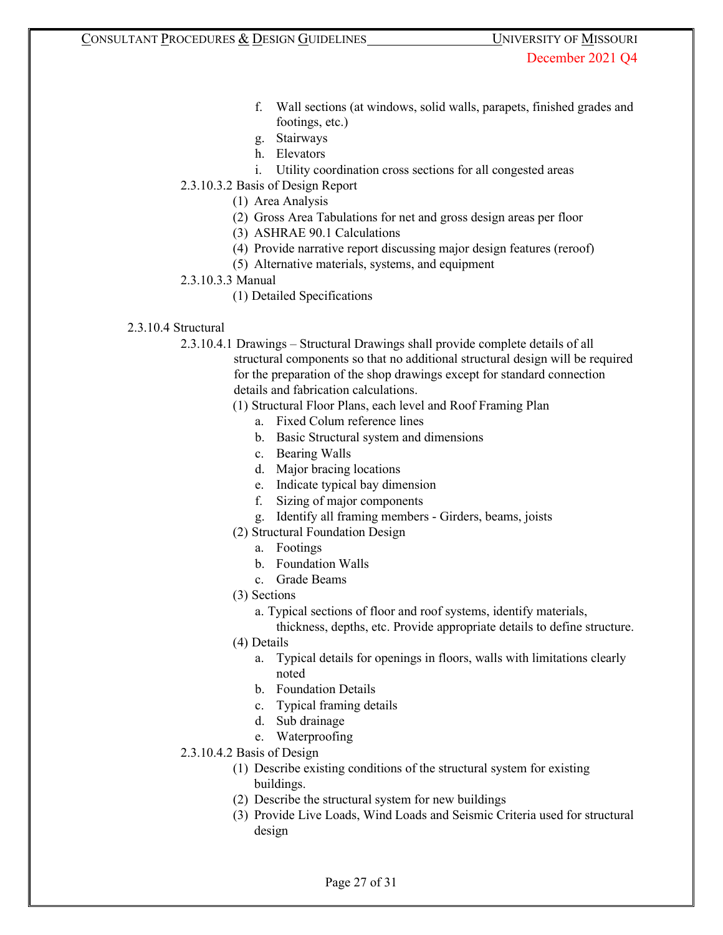- f. Wall sections (at windows, solid walls, parapets, finished grades and footings, etc.)
- g. Stairways
- h. Elevators
- i. Utility coordination cross sections for all congested areas
- 2.3.10.3.2 Basis of Design Report
	- (1) Area Analysis
	- (2) Gross Area Tabulations for net and gross design areas per floor
	- (3) ASHRAE 90.1 Calculations
	- (4) Provide narrative report discussing major design features (reroof)
	- (5) Alternative materials, systems, and equipment
- 2.3.10.3.3 Manual
	- (1) Detailed Specifications
- 2.3.10.4 Structural

2.3.10.4.1 Drawings – Structural Drawings shall provide complete details of all structural components so that no additional structural design will be required for the preparation of the shop drawings except for standard connection details and fabrication calculations.

- (1) Structural Floor Plans, each level and Roof Framing Plan
	- a. Fixed Colum reference lines
	- b. Basic Structural system and dimensions
	- c. Bearing Walls
	- d. Major bracing locations
	- e. Indicate typical bay dimension
	- f. Sizing of major components
	- g. Identify all framing members Girders, beams, joists
- (2) Structural Foundation Design
	- a. Footings
	- b. Foundation Walls
	- c. Grade Beams
- (3) Sections
	- a. Typical sections of floor and roof systems, identify materials,
		- thickness, depths, etc. Provide appropriate details to define structure.
- (4) Details
	- a. Typical details for openings in floors, walls with limitations clearly noted
	- b. Foundation Details
	- c. Typical framing details
	- d. Sub drainage
	- e. Waterproofing
- 2.3.10.4.2 Basis of Design
	- (1) Describe existing conditions of the structural system for existing buildings.
	- (2) Describe the structural system for new buildings
	- (3) Provide Live Loads, Wind Loads and Seismic Criteria used for structural design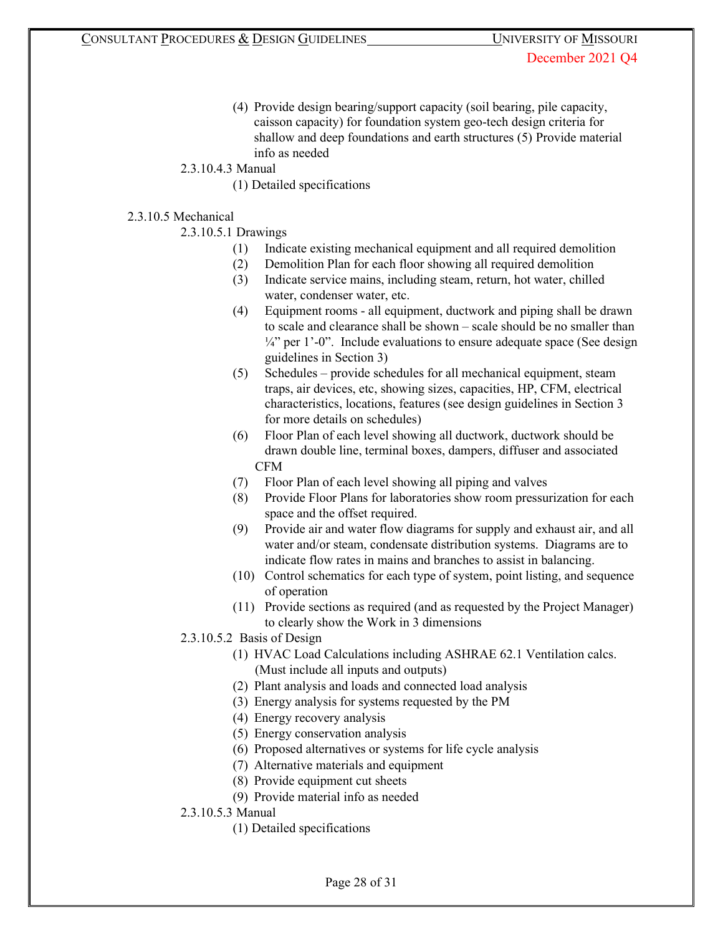- (4) Provide design bearing/support capacity (soil bearing, pile capacity, caisson capacity) for foundation system geo-tech design criteria for shallow and deep foundations and earth structures (5) Provide material info as needed
- 2.3.10.4.3 Manual
	- (1) Detailed specifications

## 2.3.10.5 Mechanical

- 2.3.10.5.1 Drawings
	- (1) Indicate existing mechanical equipment and all required demolition
	- (2) Demolition Plan for each floor showing all required demolition
	- (3) Indicate service mains, including steam, return, hot water, chilled water, condenser water, etc.
	- (4) Equipment rooms all equipment, ductwork and piping shall be drawn to scale and clearance shall be shown – scale should be no smaller than  $\frac{1}{4}$ " per 1'-0". Include evaluations to ensure adequate space (See design guidelines in Section 3)
	- (5) Schedules provide schedules for all mechanical equipment, steam traps, air devices, etc, showing sizes, capacities, HP, CFM, electrical characteristics, locations, features (see design guidelines in Section 3 for more details on schedules)
	- (6) Floor Plan of each level showing all ductwork, ductwork should be drawn double line, terminal boxes, dampers, diffuser and associated CFM
	- (7) Floor Plan of each level showing all piping and valves
	- (8) Provide Floor Plans for laboratories show room pressurization for each space and the offset required.
	- (9) Provide air and water flow diagrams for supply and exhaust air, and all water and/or steam, condensate distribution systems. Diagrams are to indicate flow rates in mains and branches to assist in balancing.
	- (10) Control schematics for each type of system, point listing, and sequence of operation
	- (11) Provide sections as required (and as requested by the Project Manager) to clearly show the Work in 3 dimensions
- 2.3.10.5.2 Basis of Design
	- (1) HVAC Load Calculations including ASHRAE 62.1 Ventilation calcs. (Must include all inputs and outputs)
	- (2) Plant analysis and loads and connected load analysis
	- (3) Energy analysis for systems requested by the PM
	- (4) Energy recovery analysis
	- (5) Energy conservation analysis
	- (6) Proposed alternatives or systems for life cycle analysis
	- (7) Alternative materials and equipment
	- (8) Provide equipment cut sheets
	- (9) Provide material info as needed
- 2.3.10.5.3 Manual
	- (1) Detailed specifications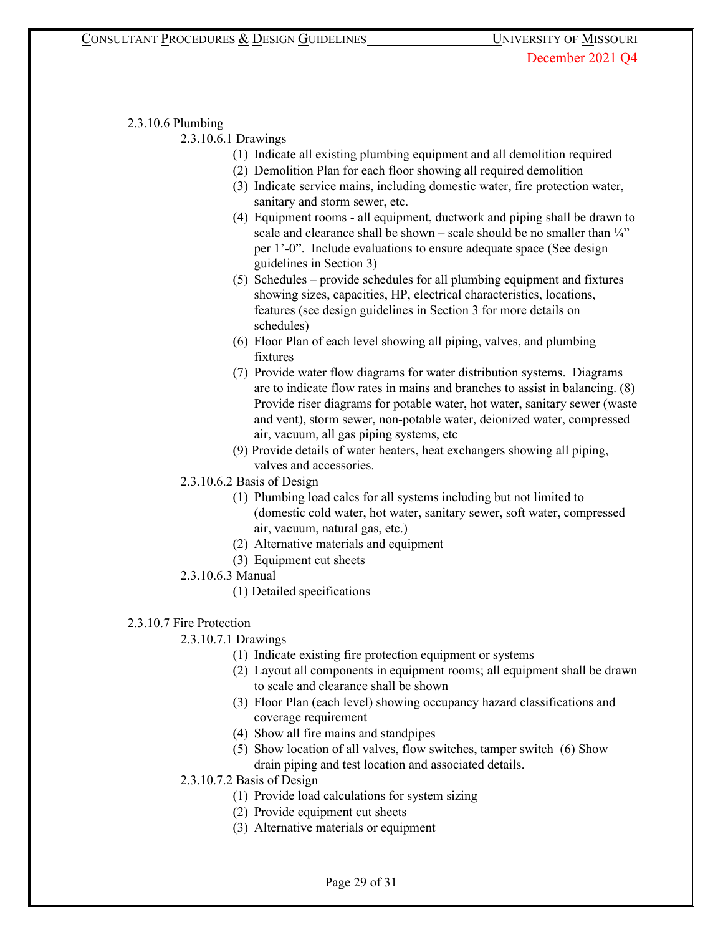#### 2.3.10.6 Plumbing

2.3.10.6.1 Drawings

- (1) Indicate all existing plumbing equipment and all demolition required
- (2) Demolition Plan for each floor showing all required demolition
- (3) Indicate service mains, including domestic water, fire protection water, sanitary and storm sewer, etc.
- (4) Equipment rooms all equipment, ductwork and piping shall be drawn to scale and clearance shall be shown – scale should be no smaller than  $\frac{1}{4}$ " per 1'-0". Include evaluations to ensure adequate space (See design guidelines in Section 3)
- (5) Schedules provide schedules for all plumbing equipment and fixtures showing sizes, capacities, HP, electrical characteristics, locations, features (see design guidelines in Section 3 for more details on schedules)
- (6) Floor Plan of each level showing all piping, valves, and plumbing fixtures
- (7) Provide water flow diagrams for water distribution systems. Diagrams are to indicate flow rates in mains and branches to assist in balancing. (8) Provide riser diagrams for potable water, hot water, sanitary sewer (waste and vent), storm sewer, non-potable water, deionized water, compressed air, vacuum, all gas piping systems, etc
- (9) Provide details of water heaters, heat exchangers showing all piping, valves and accessories.
- 2.3.10.6.2 Basis of Design
	- (1) Plumbing load calcs for all systems including but not limited to (domestic cold water, hot water, sanitary sewer, soft water, compressed air, vacuum, natural gas, etc.)
	- (2) Alternative materials and equipment
	- (3) Equipment cut sheets
- 2.3.10.6.3 Manual
	- (1) Detailed specifications

## 2.3.10.7 Fire Protection

- 2.3.10.7.1 Drawings
	- (1) Indicate existing fire protection equipment or systems
	- (2) Layout all components in equipment rooms; all equipment shall be drawn to scale and clearance shall be shown
	- (3) Floor Plan (each level) showing occupancy hazard classifications and coverage requirement
	- (4) Show all fire mains and standpipes
	- (5) Show location of all valves, flow switches, tamper switch (6) Show drain piping and test location and associated details.
- 2.3.10.7.2 Basis of Design
	- (1) Provide load calculations for system sizing
	- (2) Provide equipment cut sheets
	- (3) Alternative materials or equipment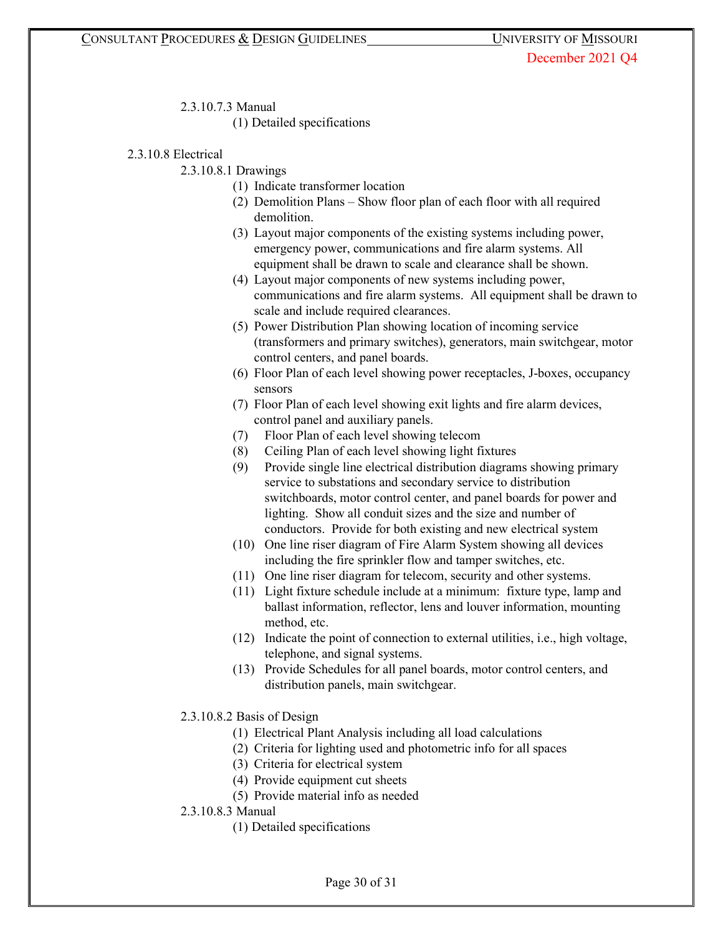2.3.10.7.3 Manual

(1) Detailed specifications

2.3.10.8 Electrical

2.3.10.8.1 Drawings

- (1) Indicate transformer location
- (2) Demolition Plans Show floor plan of each floor with all required demolition.
- (3) Layout major components of the existing systems including power, emergency power, communications and fire alarm systems. All equipment shall be drawn to scale and clearance shall be shown.
- (4) Layout major components of new systems including power, communications and fire alarm systems. All equipment shall be drawn to scale and include required clearances.
- (5) Power Distribution Plan showing location of incoming service (transformers and primary switches), generators, main switchgear, motor control centers, and panel boards.
- (6) Floor Plan of each level showing power receptacles, J-boxes, occupancy sensors
- (7) Floor Plan of each level showing exit lights and fire alarm devices, control panel and auxiliary panels.
- (7) Floor Plan of each level showing telecom
- (8) Ceiling Plan of each level showing light fixtures
- (9) Provide single line electrical distribution diagrams showing primary service to substations and secondary service to distribution switchboards, motor control center, and panel boards for power and lighting. Show all conduit sizes and the size and number of conductors. Provide for both existing and new electrical system
- (10) One line riser diagram of Fire Alarm System showing all devices including the fire sprinkler flow and tamper switches, etc.
- (11) One line riser diagram for telecom, security and other systems.
- (11) Light fixture schedule include at a minimum: fixture type, lamp and ballast information, reflector, lens and louver information, mounting method, etc.
- (12) Indicate the point of connection to external utilities, i.e., high voltage, telephone, and signal systems.
- (13) Provide Schedules for all panel boards, motor control centers, and distribution panels, main switchgear.
- 2.3.10.8.2 Basis of Design
	- (1) Electrical Plant Analysis including all load calculations
	- (2) Criteria for lighting used and photometric info for all spaces
	- (3) Criteria for electrical system
	- (4) Provide equipment cut sheets
	- (5) Provide material info as needed
- 2.3.10.8.3 Manual
	- (1) Detailed specifications